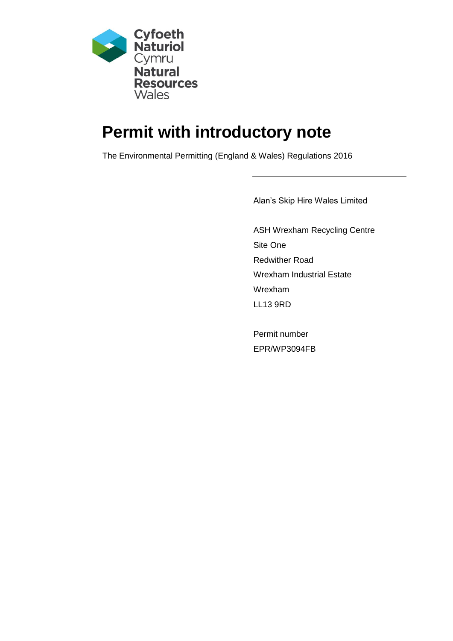

# **Permit with introductory note**

The Environmental Permitting (England & Wales) Regulations 2016

Alan's Skip Hire Wales Limited

ASH Wrexham Recycling Centre Site One Redwither Road Wrexham Industrial Estate Wrexham LL13 9RD

Permit number EPR/WP3094FB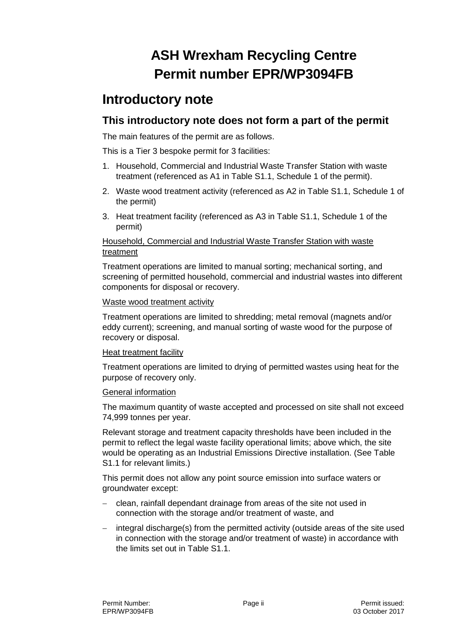# **ASH Wrexham Recycling Centre Permit number EPR/WP3094FB**

## **Introductory note**

#### **This introductory note does not form a part of the permit**

The main features of the permit are as follows.

This is a Tier 3 bespoke permit for 3 facilities:

- 1. Household, Commercial and Industrial Waste Transfer Station with waste treatment (referenced as A1 in Table S1.1, Schedule 1 of the permit).
- 2. Waste wood treatment activity (referenced as A2 in Table S1.1, Schedule 1 of the permit)
- 3. Heat treatment facility (referenced as A3 in Table S1.1, Schedule 1 of the permit)

#### Household, Commercial and Industrial Waste Transfer Station with waste treatment

Treatment operations are limited to manual sorting; mechanical sorting, and screening of permitted household, commercial and industrial wastes into different components for disposal or recovery.

#### Waste wood treatment activity

Treatment operations are limited to shredding; metal removal (magnets and/or eddy current); screening, and manual sorting of waste wood for the purpose of recovery or disposal.

#### Heat treatment facility

Treatment operations are limited to drying of permitted wastes using heat for the purpose of recovery only.

#### General information

The maximum quantity of waste accepted and processed on site shall not exceed 74,999 tonnes per year.

Relevant storage and treatment capacity thresholds have been included in the permit to reflect the legal waste facility operational limits; above which, the site would be operating as an Industrial Emissions Directive installation. (See Table S1.1 for relevant limits.)

This permit does not allow any point source emission into surface waters or groundwater except:

- clean, rainfall dependant drainage from areas of the site not used in connection with the storage and/or treatment of waste, and
- integral discharge(s) from the permitted activity (outside areas of the site used in connection with the storage and/or treatment of waste) in accordance with the limits set out in Table S1.1.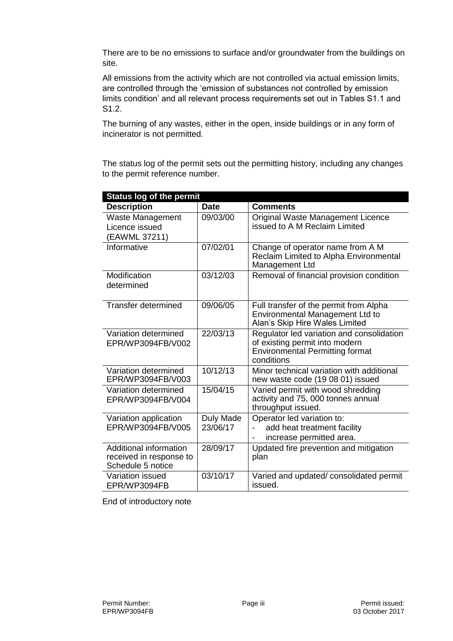There are to be no emissions to surface and/or groundwater from the buildings on site.

All emissions from the activity which are not controlled via actual emission limits, are controlled through the 'emission of substances not controlled by emission limits condition' and all relevant process requirements set out in Tables S1.1 and S1.2.

The burning of any wastes, either in the open, inside buildings or in any form of incinerator is not permitted.

The status log of the permit sets out the permitting history, including any changes to the permit reference number.

| <b>Status log of the permit</b>                                        |                       |                                                                                                                                     |  |
|------------------------------------------------------------------------|-----------------------|-------------------------------------------------------------------------------------------------------------------------------------|--|
| <b>Description</b>                                                     | <b>Date</b>           | <b>Comments</b>                                                                                                                     |  |
| Waste Management<br>Licence issued<br>(EAWML 37211)                    | 09/03/00              | Original Waste Management Licence<br>issued to A M Reclaim Limited                                                                  |  |
| Informative                                                            | 07/02/01              | Change of operator name from A M<br>Reclaim Limited to Alpha Environmental<br>Management Ltd                                        |  |
| Modification<br>determined                                             | 03/12/03              | Removal of financial provision condition                                                                                            |  |
| <b>Transfer determined</b>                                             | 09/06/05              | Full transfer of the permit from Alpha<br>Environmental Management Ltd to<br>Alan's Skip Hire Wales Limited                         |  |
| Variation determined<br>EPR/WP3094FB/V002                              | 22/03/13              | Regulator led variation and consolidation<br>of existing permit into modern<br><b>Environmental Permitting format</b><br>conditions |  |
| Variation determined<br>EPR/WP3094FB/V003                              | 10/12/13              | Minor technical variation with additional<br>new waste code (19 08 01) issued                                                       |  |
| Variation determined<br>EPR/WP3094FB/V004                              | 15/04/15              | Varied permit with wood shredding<br>activity and 75, 000 tonnes annual<br>throughput issued.                                       |  |
| Variation application<br>EPR/WP3094FB/V005                             | Duly Made<br>23/06/17 | Operator led variation to:<br>add heat treatment facility<br>increase permitted area.                                               |  |
| Additional information<br>received in response to<br>Schedule 5 notice | 28/09/17              | Updated fire prevention and mitigation<br>plan                                                                                      |  |
| Variation issued<br>EPR/WP3094FB                                       | 03/10/17              | Varied and updated/consolidated permit<br>issued.                                                                                   |  |

End of introductory note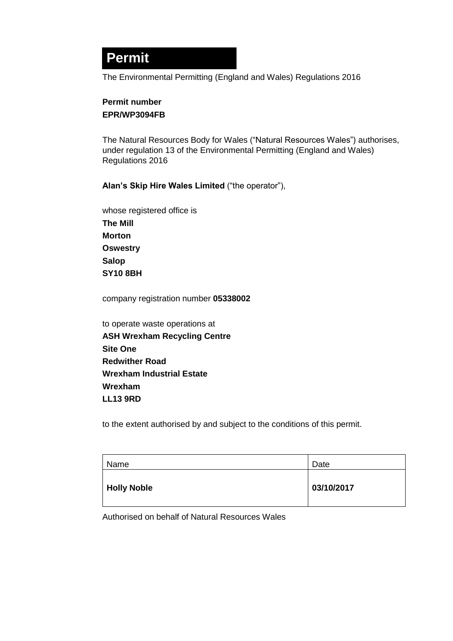# **Permit**

The Environmental Permitting (England and Wales) Regulations 2016

#### **Permit number EPR/WP3094FB**

The Natural Resources Body for Wales ("Natural Resources Wales") authorises, under regulation 13 of the Environmental Permitting (England and Wales) Regulations 2016

**Alan's Skip Hire Wales Limited** ("the operator"),

whose registered office is **The Mill Morton Oswestry Salop SY10 8BH**

company registration number **05338002** 

to operate waste operations at **ASH Wrexham Recycling Centre Site One Redwither Road Wrexham Industrial Estate Wrexham LL13 9RD**

to the extent authorised by and subject to the conditions of this permit.

| Name               | Date       |
|--------------------|------------|
| <b>Holly Noble</b> | 03/10/2017 |

Authorised on behalf of Natural Resources Wales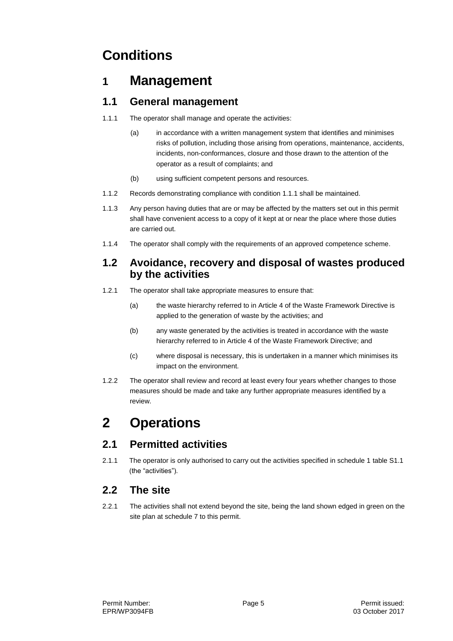# **Conditions**

## **1 Management**

### **1.1 General management**

- 1.1.1 The operator shall manage and operate the activities:
	- (a) in accordance with a written management system that identifies and minimises risks of pollution, including those arising from operations, maintenance, accidents, incidents, non-conformances, closure and those drawn to the attention of the operator as a result of complaints; and
	- (b) using sufficient competent persons and resources.
- 1.1.2 Records demonstrating compliance with condition 1.1.1 shall be maintained.
- 1.1.3 Any person having duties that are or may be affected by the matters set out in this permit shall have convenient access to a copy of it kept at or near the place where those duties are carried out.
- 1.1.4 The operator shall comply with the requirements of an approved competence scheme.

#### **1.2 Avoidance, recovery and disposal of wastes produced by the activities**

- 1.2.1 The operator shall take appropriate measures to ensure that:
	- (a) the waste hierarchy referred to in Article 4 of the Waste Framework Directive is applied to the generation of waste by the activities; and
	- (b) any waste generated by the activities is treated in accordance with the waste hierarchy referred to in Article 4 of the Waste Framework Directive; and
	- (c) where disposal is necessary, this is undertaken in a manner which minimises its impact on the environment.
- 1.2.2 The operator shall review and record at least every four years whether changes to those measures should be made and take any further appropriate measures identified by a review.

# **2 Operations**

## **2.1 Permitted activities**

2.1.1 The operator is only authorised to carry out the activities specified in schedule 1 table S1.1 (the "activities").

### **2.2 The site**

2.2.1 The activities shall not extend beyond the site, being the land shown edged in green on the site plan at schedule 7 to this permit.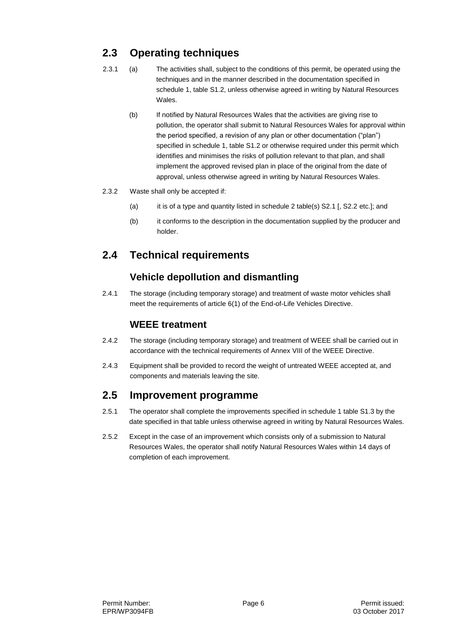## **2.3 Operating techniques**

- 2.3.1 (a) The activities shall, subject to the conditions of this permit, be operated using the techniques and in the manner described in the documentation specified in schedule 1, table S1.2, unless otherwise agreed in writing by Natural Resources Wales.
	- (b) If notified by Natural Resources Wales that the activities are giving rise to pollution, the operator shall submit to Natural Resources Wales for approval within the period specified, a revision of any plan or other documentation ("plan") specified in schedule 1, table S1.2 or otherwise required under this permit which identifies and minimises the risks of pollution relevant to that plan, and shall implement the approved revised plan in place of the original from the date of approval, unless otherwise agreed in writing by Natural Resources Wales.
- 2.3.2 Waste shall only be accepted if:
	- (a) it is of a type and quantity listed in schedule 2 table(s) S2.1 [, S2.2 etc.]; and
	- (b) it conforms to the description in the documentation supplied by the producer and holder.

## **2.4 Technical requirements**

#### **Vehicle depollution and dismantling**

2.4.1 The storage (including temporary storage) and treatment of waste motor vehicles shall meet the requirements of article 6(1) of the End-of-Life Vehicles Directive.

#### **WEEE treatment**

- 2.4.2 The storage (including temporary storage) and treatment of WEEE shall be carried out in accordance with the technical requirements of Annex VIII of the WEEE Directive.
- 2.4.3 Equipment shall be provided to record the weight of untreated WEEE accepted at, and components and materials leaving the site.

#### **2.5 Improvement programme**

- 2.5.1 The operator shall complete the improvements specified in schedule 1 table S1.3 by the date specified in that table unless otherwise agreed in writing by Natural Resources Wales.
- 2.5.2 Except in the case of an improvement which consists only of a submission to Natural Resources Wales, the operator shall notify Natural Resources Wales within 14 days of completion of each improvement.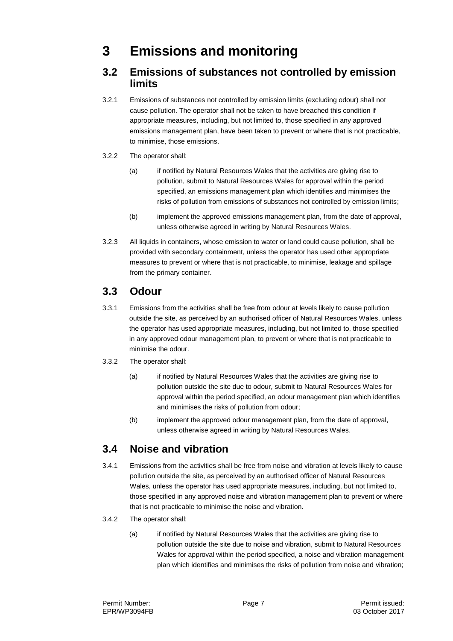## **3 Emissions and monitoring**

#### **3.2 Emissions of substances not controlled by emission limits**

3.2.1 Emissions of substances not controlled by emission limits (excluding odour) shall not cause pollution. The operator shall not be taken to have breached this condition if appropriate measures, including, but not limited to, those specified in any approved emissions management plan, have been taken to prevent or where that is not practicable, to minimise, those emissions.

#### 3.2.2 The operator shall:

- (a) if notified by Natural Resources Wales that the activities are giving rise to pollution, submit to Natural Resources Wales for approval within the period specified, an emissions management plan which identifies and minimises the risks of pollution from emissions of substances not controlled by emission limits;
- (b) implement the approved emissions management plan, from the date of approval, unless otherwise agreed in writing by Natural Resources Wales.
- 3.2.3 All liquids in containers, whose emission to water or land could cause pollution, shall be provided with secondary containment, unless the operator has used other appropriate measures to prevent or where that is not practicable, to minimise, leakage and spillage from the primary container.

#### **3.3 Odour**

- 3.3.1 Emissions from the activities shall be free from odour at levels likely to cause pollution outside the site, as perceived by an authorised officer of Natural Resources Wales, unless the operator has used appropriate measures, including, but not limited to, those specified in any approved odour management plan, to prevent or where that is not practicable to minimise the odour.
- 3.3.2 The operator shall:
	- (a) if notified by Natural Resources Wales that the activities are giving rise to pollution outside the site due to odour, submit to Natural Resources Wales for approval within the period specified, an odour management plan which identifies and minimises the risks of pollution from odour;
	- (b) implement the approved odour management plan, from the date of approval, unless otherwise agreed in writing by Natural Resources Wales.

#### **3.4 Noise and vibration**

- 3.4.1 Emissions from the activities shall be free from noise and vibration at levels likely to cause pollution outside the site, as perceived by an authorised officer of Natural Resources Wales, unless the operator has used appropriate measures, including, but not limited to, those specified in any approved noise and vibration management plan to prevent or where that is not practicable to minimise the noise and vibration.
- 3.4.2 The operator shall:
	- (a) if notified by Natural Resources Wales that the activities are giving rise to pollution outside the site due to noise and vibration, submit to Natural Resources Wales for approval within the period specified, a noise and vibration management plan which identifies and minimises the risks of pollution from noise and vibration;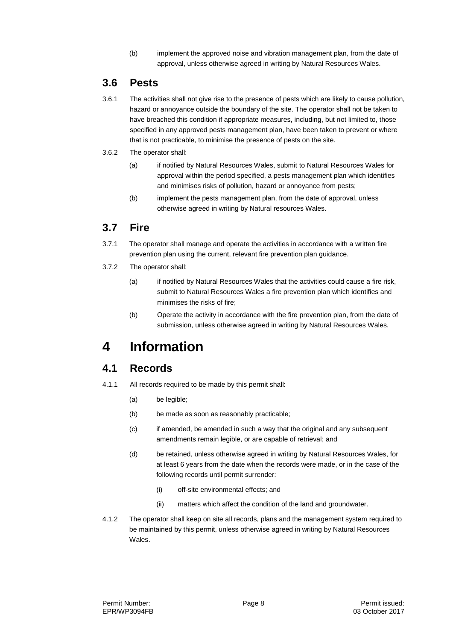(b) implement the approved noise and vibration management plan, from the date of approval, unless otherwise agreed in writing by Natural Resources Wales.

#### **3.6 Pests**

- 3.6.1 The activities shall not give rise to the presence of pests which are likely to cause pollution, hazard or annoyance outside the boundary of the site. The operator shall not be taken to have breached this condition if appropriate measures, including, but not limited to, those specified in any approved pests management plan, have been taken to prevent or where that is not practicable, to minimise the presence of pests on the site.
- 3.6.2 The operator shall:
	- (a) if notified by Natural Resources Wales, submit to Natural Resources Wales for approval within the period specified, a pests management plan which identifies and minimises risks of pollution, hazard or annoyance from pests;
	- (b) implement the pests management plan, from the date of approval, unless otherwise agreed in writing by Natural resources Wales.

#### **3.7 Fire**

- 3.7.1 The operator shall manage and operate the activities in accordance with a written fire prevention plan using the current, relevant fire prevention plan guidance.
- 3.7.2 The operator shall:
	- (a) if notified by Natural Resources Wales that the activities could cause a fire risk, submit to Natural Resources Wales a fire prevention plan which identifies and minimises the risks of fire;
	- (b) Operate the activity in accordance with the fire prevention plan, from the date of submission, unless otherwise agreed in writing by Natural Resources Wales.

## **4 Information**

#### **4.1 Records**

- 4.1.1 All records required to be made by this permit shall:
	- (a) be legible;
	- (b) be made as soon as reasonably practicable;
	- (c) if amended, be amended in such a way that the original and any subsequent amendments remain legible, or are capable of retrieval; and
	- (d) be retained, unless otherwise agreed in writing by Natural Resources Wales, for at least 6 years from the date when the records were made, or in the case of the following records until permit surrender:
		- (i) off-site environmental effects; and
		- (ii) matters which affect the condition of the land and groundwater.
- 4.1.2 The operator shall keep on site all records, plans and the management system required to be maintained by this permit, unless otherwise agreed in writing by Natural Resources Wales.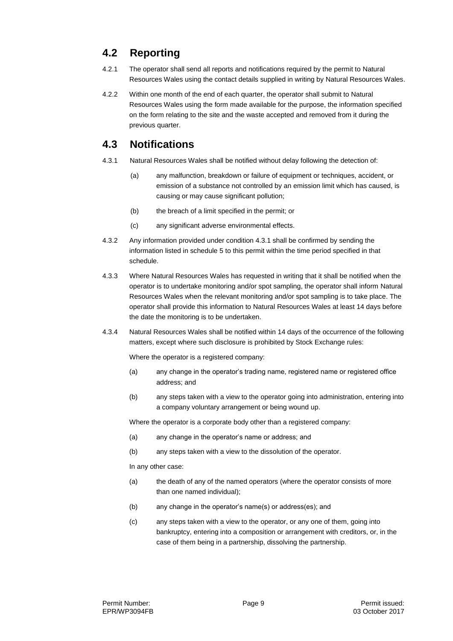## **4.2 Reporting**

- 4.2.1 The operator shall send all reports and notifications required by the permit to Natural Resources Wales using the contact details supplied in writing by Natural Resources Wales.
- 4.2.2 Within one month of the end of each quarter, the operator shall submit to Natural Resources Wales using the form made available for the purpose, the information specified on the form relating to the site and the waste accepted and removed from it during the previous quarter.

### **4.3 Notifications**

- 4.3.1 Natural Resources Wales shall be notified without delay following the detection of:
	- (a) any malfunction, breakdown or failure of equipment or techniques, accident, or emission of a substance not controlled by an emission limit which has caused, is causing or may cause significant pollution;
	- (b) the breach of a limit specified in the permit; or
	- (c) any significant adverse environmental effects.
- 4.3.2 Any information provided under condition 4.3.1 shall be confirmed by sending the information listed in schedule 5 to this permit within the time period specified in that schedule.
- 4.3.3 Where Natural Resources Wales has requested in writing that it shall be notified when the operator is to undertake monitoring and/or spot sampling, the operator shall inform Natural Resources Wales when the relevant monitoring and/or spot sampling is to take place. The operator shall provide this information to Natural Resources Wales at least 14 days before the date the monitoring is to be undertaken.
- 4.3.4 Natural Resources Wales shall be notified within 14 days of the occurrence of the following matters, except where such disclosure is prohibited by Stock Exchange rules:

Where the operator is a registered company:

- (a) any change in the operator's trading name, registered name or registered office address; and
- (b) any steps taken with a view to the operator going into administration, entering into a company voluntary arrangement or being wound up.

Where the operator is a corporate body other than a registered company:

- (a) any change in the operator's name or address; and
- (b) any steps taken with a view to the dissolution of the operator.

In any other case:

- (a) the death of any of the named operators (where the operator consists of more than one named individual);
- (b) any change in the operator's name(s) or address(es); and
- (c) any steps taken with a view to the operator, or any one of them, going into bankruptcy, entering into a composition or arrangement with creditors, or, in the case of them being in a partnership, dissolving the partnership.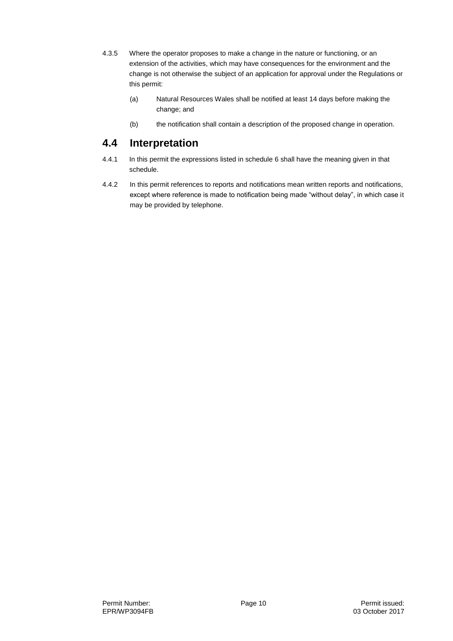- 4.3.5 Where the operator proposes to make a change in the nature or functioning, or an extension of the activities, which may have consequences for the environment and the change is not otherwise the subject of an application for approval under the Regulations or this permit:
	- (a) Natural Resources Wales shall be notified at least 14 days before making the change; and
	- (b) the notification shall contain a description of the proposed change in operation.

### **4.4 Interpretation**

- 4.4.1 In this permit the expressions listed in schedule 6 shall have the meaning given in that schedule.
- 4.4.2 In this permit references to reports and notifications mean written reports and notifications, except where reference is made to notification being made "without delay", in which case it may be provided by telephone.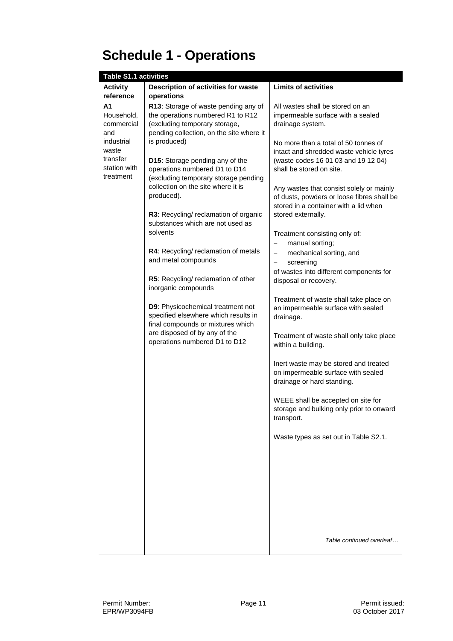# **Schedule 1 - Operations**

| <b>Table S1.1 activities</b>                                                                          |                                                                                                                                                                        |                                                                                                                                                                                                      |
|-------------------------------------------------------------------------------------------------------|------------------------------------------------------------------------------------------------------------------------------------------------------------------------|------------------------------------------------------------------------------------------------------------------------------------------------------------------------------------------------------|
| <b>Activity</b>                                                                                       | Description of activities for waste                                                                                                                                    | <b>Limits of activities</b>                                                                                                                                                                          |
| reference                                                                                             | operations                                                                                                                                                             |                                                                                                                                                                                                      |
| Α1<br>Household,<br>commercial<br>and<br>industrial<br>waste<br>transfer<br>station with<br>treatment | R13: Storage of waste pending any of<br>the operations numbered R1 to R12<br>(excluding temporary storage,<br>pending collection, on the site where it<br>is produced) | All wastes shall be stored on an<br>impermeable surface with a sealed<br>drainage system.<br>No more than a total of 50 tonnes of                                                                    |
|                                                                                                       | D15: Storage pending any of the<br>operations numbered D1 to D14<br>(excluding temporary storage pending<br>collection on the site where it is<br>produced).           | intact and shredded waste vehicle tyres<br>(waste codes 16 01 03 and 19 12 04)<br>shall be stored on site.<br>Any wastes that consist solely or mainly<br>of dusts, powders or loose fibres shall be |
|                                                                                                       | R3: Recycling/ reclamation of organic<br>substances which are not used as<br>solvents                                                                                  | stored in a container with a lid when<br>stored externally.                                                                                                                                          |
|                                                                                                       | R4: Recycling/ reclamation of metals<br>and metal compounds                                                                                                            | Treatment consisting only of:<br>manual sorting;<br>$\qquad \qquad -$<br>mechanical sorting, and<br>$\qquad \qquad -$<br>screening<br>$\qquad \qquad -$                                              |
|                                                                                                       | R5: Recycling/ reclamation of other<br>inorganic compounds                                                                                                             | of wastes into different components for<br>disposal or recovery.                                                                                                                                     |
|                                                                                                       | D9: Physicochemical treatment not<br>specified elsewhere which results in<br>final compounds or mixtures which                                                         | Treatment of waste shall take place on<br>an impermeable surface with sealed<br>drainage.                                                                                                            |
|                                                                                                       | are disposed of by any of the<br>operations numbered D1 to D12                                                                                                         | Treatment of waste shall only take place<br>within a building.                                                                                                                                       |
|                                                                                                       |                                                                                                                                                                        | Inert waste may be stored and treated<br>on impermeable surface with sealed<br>drainage or hard standing.                                                                                            |
|                                                                                                       |                                                                                                                                                                        | WEEE shall be accepted on site for<br>storage and bulking only prior to onward<br>transport.                                                                                                         |
|                                                                                                       |                                                                                                                                                                        | Waste types as set out in Table S2.1.                                                                                                                                                                |
|                                                                                                       |                                                                                                                                                                        |                                                                                                                                                                                                      |
|                                                                                                       |                                                                                                                                                                        |                                                                                                                                                                                                      |
|                                                                                                       |                                                                                                                                                                        | Table continued overleaf                                                                                                                                                                             |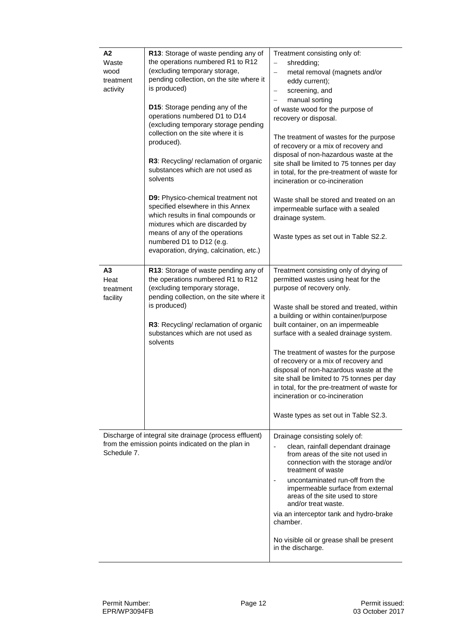| Α2<br>Waste<br>wood<br>treatment<br>activity | R13: Storage of waste pending any of<br>the operations numbered R1 to R12<br>(excluding temporary storage,<br>pending collection, on the site where it<br>is produced)<br>D15: Storage pending any of the<br>operations numbered D1 to D14<br>(excluding temporary storage pending<br>collection on the site where it is<br>produced).<br>R3: Recycling/ reclamation of organic<br>substances which are not used as<br>solvents<br><b>D9:</b> Physico-chemical treatment not<br>specified elsewhere in this Annex<br>which results in final compounds or<br>mixtures which are discarded by<br>means of any of the operations<br>numbered D1 to D12 (e.g.<br>evaporation, drying, calcination, etc.) | Treatment consisting only of:<br>shredding;<br>$\overline{\phantom{0}}$<br>metal removal (magnets and/or<br>eddy current);<br>screening, and<br>$\qquad \qquad -$<br>manual sorting<br>$\qquad \qquad -$<br>of waste wood for the purpose of<br>recovery or disposal.<br>The treatment of wastes for the purpose<br>of recovery or a mix of recovery and<br>disposal of non-hazardous waste at the<br>site shall be limited to 75 tonnes per day<br>in total, for the pre-treatment of waste for<br>incineration or co-incineration<br>Waste shall be stored and treated on an<br>impermeable surface with a sealed<br>drainage system.<br>Waste types as set out in Table S2.2. |
|----------------------------------------------|------------------------------------------------------------------------------------------------------------------------------------------------------------------------------------------------------------------------------------------------------------------------------------------------------------------------------------------------------------------------------------------------------------------------------------------------------------------------------------------------------------------------------------------------------------------------------------------------------------------------------------------------------------------------------------------------------|----------------------------------------------------------------------------------------------------------------------------------------------------------------------------------------------------------------------------------------------------------------------------------------------------------------------------------------------------------------------------------------------------------------------------------------------------------------------------------------------------------------------------------------------------------------------------------------------------------------------------------------------------------------------------------|
| A3<br>Heat<br>treatment<br>facility          | R13: Storage of waste pending any of<br>the operations numbered R1 to R12<br>(excluding temporary storage,<br>pending collection, on the site where it<br>is produced)<br>R3: Recycling/ reclamation of organic<br>substances which are not used as<br>solvents                                                                                                                                                                                                                                                                                                                                                                                                                                      | Treatment consisting only of drying of<br>permitted wastes using heat for the<br>purpose of recovery only.<br>Waste shall be stored and treated, within<br>a building or within container/purpose<br>built container, on an impermeable<br>surface with a sealed drainage system.<br>The treatment of wastes for the purpose<br>of recovery or a mix of recovery and<br>disposal of non-hazardous waste at the<br>site shall be limited to 75 tonnes per day<br>in total, for the pre-treatment of waste for<br>incineration or co-incineration<br>Waste types as set out in Table S2.3.                                                                                         |
| Schedule 7.                                  | Discharge of integral site drainage (process effluent)<br>from the emission points indicated on the plan in                                                                                                                                                                                                                                                                                                                                                                                                                                                                                                                                                                                          | Drainage consisting solely of:<br>clean, rainfall dependant drainage<br>from areas of the site not used in<br>connection with the storage and/or<br>treatment of waste<br>uncontaminated run-off from the<br>impermeable surface from external<br>areas of the site used to store<br>and/or treat waste.<br>via an interceptor tank and hydro-brake<br>chamber.<br>No visible oil or grease shall be present<br>in the discharge.                                                                                                                                                                                                                                                |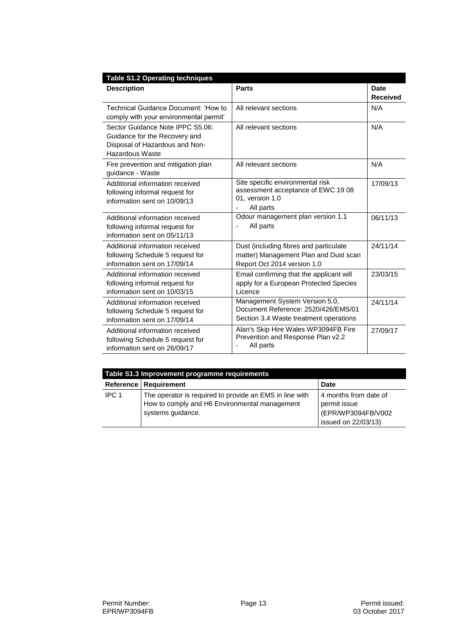| <b>Table S1.2 Operating techniques</b>                                                                                        |                                                                                                                 |                                |  |
|-------------------------------------------------------------------------------------------------------------------------------|-----------------------------------------------------------------------------------------------------------------|--------------------------------|--|
| <b>Description</b>                                                                                                            | Parts                                                                                                           | <b>Date</b><br><b>Received</b> |  |
| Technical Guidance Document: 'How to<br>comply with your environmental permit'                                                | All relevant sections                                                                                           | N/A                            |  |
| Sector Guidance Note IPPC S5.06:<br>Guidance for the Recovery and<br>Disposal of Hazardous and Non-<br><b>Hazardous Waste</b> | All relevant sections                                                                                           | N/A                            |  |
| Fire prevention and mitigation plan<br>guidance - Waste                                                                       | All relevant sections                                                                                           | N/A                            |  |
| Additional information received<br>following informal request for<br>information sent on 10/09/13                             | Site specific environmental risk<br>assessment acceptance of EWC 19 08<br>01, version 1.0<br>All parts          | 17/09/13                       |  |
| Additional information received<br>following informal request for<br>information sent on 05/11/13                             | Odour management plan version 1.1<br>All parts                                                                  | 06/11/13                       |  |
| Additional information received<br>following Schedule 5 request for<br>information sent on 17/09/14                           | Dust (including fibres and particulate<br>matter) Management Plan and Dust scan<br>Report Oct 2014 version 1.0  | 24/11/14                       |  |
| Additional information received<br>following informal request for<br>information sent on 10/03/15                             | Email confirming that the applicant will<br>apply for a European Protected Species<br>Licence                   | 23/03/15                       |  |
| Additional information received<br>following Schedule 5 request for<br>information sent on 17/09/14                           | Management System Version 5.0,<br>Document Reference: 2520/426/EMS/01<br>Section 3.4 Waste treatment operations | 24/11/14                       |  |
| Additional information received<br>following Schedule 5 request for<br>information sent on 26/09/17                           | Alan's Skip Hire Wales WP3094FB Fire<br>Prevention and Response Plan v2.2<br>All parts                          | 27/09/17                       |  |

| Table S1.3 Improvement programme requirements |                                                                                                                               |                                                                                    |  |
|-----------------------------------------------|-------------------------------------------------------------------------------------------------------------------------------|------------------------------------------------------------------------------------|--|
|                                               | Reference   Requirement                                                                                                       | Date                                                                               |  |
| IPC <sub>1</sub>                              | The operator is required to provide an EMS in line with<br>How to comply and H6 Environmental management<br>systems guidance. | 4 months from date of<br>permit issue<br>(EPR/WP3094FB/V002<br>issued on 22/03/13) |  |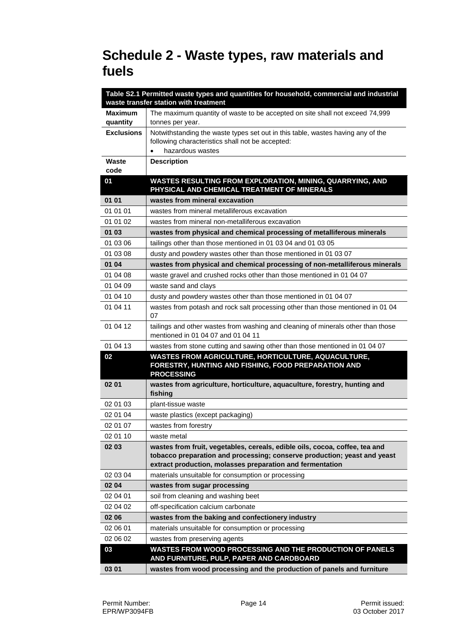## **Schedule 2 - Waste types, raw materials and fuels**

|                   | Table S2.1 Permitted waste types and quantities for household, commercial and industrial                                                                                                                             |
|-------------------|----------------------------------------------------------------------------------------------------------------------------------------------------------------------------------------------------------------------|
|                   | waste transfer station with treatment                                                                                                                                                                                |
| <b>Maximum</b>    | The maximum quantity of waste to be accepted on site shall not exceed 74,999                                                                                                                                         |
| quantity          | tonnes per year.                                                                                                                                                                                                     |
| <b>Exclusions</b> | Notwithstanding the waste types set out in this table, wastes having any of the                                                                                                                                      |
|                   | following characteristics shall not be accepted:<br>hazardous wastes                                                                                                                                                 |
| Waste             |                                                                                                                                                                                                                      |
| code              | <b>Description</b>                                                                                                                                                                                                   |
| 01                | WASTES RESULTING FROM EXPLORATION, MINING, QUARRYING, AND                                                                                                                                                            |
|                   | PHYSICAL AND CHEMICAL TREATMENT OF MINERALS                                                                                                                                                                          |
| 01 01             | wastes from mineral excavation                                                                                                                                                                                       |
| 01 01 01          | wastes from mineral metalliferous excavation                                                                                                                                                                         |
| 01 01 02          | wastes from mineral non-metalliferous excavation                                                                                                                                                                     |
| 01 03             | wastes from physical and chemical processing of metalliferous minerals                                                                                                                                               |
| 01 03 06          | tailings other than those mentioned in 01 03 04 and 01 03 05                                                                                                                                                         |
| 01 03 08          | dusty and powdery wastes other than those mentioned in 01 03 07                                                                                                                                                      |
| 01 04             | wastes from physical and chemical processing of non-metalliferous minerals                                                                                                                                           |
| 01 04 08          | waste gravel and crushed rocks other than those mentioned in 01 04 07                                                                                                                                                |
| 01 04 09          | waste sand and clays                                                                                                                                                                                                 |
| 01 04 10          | dusty and powdery wastes other than those mentioned in 01 04 07                                                                                                                                                      |
| 01 04 11          | wastes from potash and rock salt processing other than those mentioned in 01 04<br>07                                                                                                                                |
| 01 04 12          | tailings and other wastes from washing and cleaning of minerals other than those<br>mentioned in 01 04 07 and 01 04 11                                                                                               |
| 01 04 13          | wastes from stone cutting and sawing other than those mentioned in 01 04 07                                                                                                                                          |
| 02                | WASTES FROM AGRICULTURE, HORTICULTURE, AQUACULTURE,<br>FORESTRY, HUNTING AND FISHING, FOOD PREPARATION AND<br><b>PROCESSING</b>                                                                                      |
| 02 01             | wastes from agriculture, horticulture, aquaculture, forestry, hunting and<br>fishing                                                                                                                                 |
| 02 01 03          | plant-tissue waste                                                                                                                                                                                                   |
| 02 01 04          | waste plastics (except packaging)                                                                                                                                                                                    |
| 02 01 07          | wastes from forestry                                                                                                                                                                                                 |
| 02 01 10          | waste metal                                                                                                                                                                                                          |
| 02 03             | wastes from fruit, vegetables, cereals, edible oils, cocoa, coffee, tea and<br>tobacco preparation and processing; conserve production; yeast and yeast<br>extract production, molasses preparation and fermentation |
| 02 03 04          | materials unsuitable for consumption or processing                                                                                                                                                                   |
| 02 04             | wastes from sugar processing                                                                                                                                                                                         |
| 02 04 01          | soil from cleaning and washing beet                                                                                                                                                                                  |
| 02 04 02          | off-specification calcium carbonate                                                                                                                                                                                  |
| 02 06             | wastes from the baking and confectionery industry                                                                                                                                                                    |
| 02 06 01          | materials unsuitable for consumption or processing                                                                                                                                                                   |
| 02 06 02          | wastes from preserving agents                                                                                                                                                                                        |
| 03                | WASTES FROM WOOD PROCESSING AND THE PRODUCTION OF PANELS<br>AND FURNITURE, PULP, PAPER AND CARDBOARD                                                                                                                 |
| 03 01             | wastes from wood processing and the production of panels and furniture                                                                                                                                               |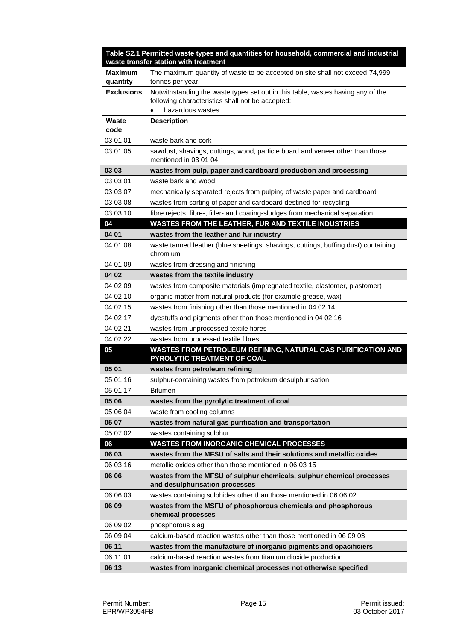|                   | Table S2.1 Permitted waste types and quantities for household, commercial and industrial<br>waste transfer station with treatment |
|-------------------|-----------------------------------------------------------------------------------------------------------------------------------|
| <b>Maximum</b>    | The maximum quantity of waste to be accepted on site shall not exceed 74,999                                                      |
| quantity          | tonnes per year.                                                                                                                  |
| <b>Exclusions</b> | Notwithstanding the waste types set out in this table, wastes having any of the                                                   |
|                   | following characteristics shall not be accepted:                                                                                  |
|                   | hazardous wastes                                                                                                                  |
| Waste<br>code     | <b>Description</b>                                                                                                                |
| 03 01 01          | waste bark and cork                                                                                                               |
|                   |                                                                                                                                   |
| 03 01 05          | sawdust, shavings, cuttings, wood, particle board and veneer other than those<br>mentioned in 03 01 04                            |
| 03 03             | wastes from pulp, paper and cardboard production and processing                                                                   |
| 03 03 01          | waste bark and wood                                                                                                               |
| 03 03 07          | mechanically separated rejects from pulping of waste paper and cardboard                                                          |
| 03 03 08          | wastes from sorting of paper and cardboard destined for recycling                                                                 |
| 03 03 10          | fibre rejects, fibre-, filler- and coating-sludges from mechanical separation                                                     |
| 04                | WASTES FROM THE LEATHER, FUR AND TEXTILE INDUSTRIES                                                                               |
| 04 01             | wastes from the leather and fur industry                                                                                          |
| 04 01 08          | waste tanned leather (blue sheetings, shavings, cuttings, buffing dust) containing<br>chromium                                    |
| 04 01 09          | wastes from dressing and finishing                                                                                                |
| 04 02             | wastes from the textile industry                                                                                                  |
| 04 02 09          | wastes from composite materials (impregnated textile, elastomer, plastomer)                                                       |
| 04 02 10          | organic matter from natural products (for example grease, wax)                                                                    |
| 04 02 15          | wastes from finishing other than those mentioned in 04 02 14                                                                      |
| 04 02 17          | dyestuffs and pigments other than those mentioned in 04 02 16                                                                     |
| 04 02 21          | wastes from unprocessed textile fibres                                                                                            |
| 04 02 22          | wastes from processed textile fibres                                                                                              |
| 05                | WASTES FROM PETROLEUM REFINING, NATURAL GAS PURIFICATION AND                                                                      |
|                   | PYROLYTIC TREATMENT OF COAL                                                                                                       |
| 05 01             | wastes from petroleum refining                                                                                                    |
| 05 01 16          | sulphur-containing wastes from petroleum desulphurisation                                                                         |
| 05 01 17          | <b>Bitumen</b>                                                                                                                    |
| 05 06             | wastes from the pyrolytic treatment of coal                                                                                       |
| 05 06 04          | waste from cooling columns                                                                                                        |
| 05 07             | wastes from natural gas purification and transportation                                                                           |
| 05 07 02          | wastes containing sulphur                                                                                                         |
| 06                | <b>WASTES FROM INORGANIC CHEMICAL PROCESSES</b>                                                                                   |
| 06 03             | wastes from the MFSU of salts and their solutions and metallic oxides                                                             |
| 06 03 16          | metallic oxides other than those mentioned in 06 03 15                                                                            |
| 06 06             | wastes from the MFSU of sulphur chemicals, sulphur chemical processes<br>and desulphurisation processes                           |
| 06 06 03          | wastes containing sulphides other than those mentioned in 06 06 02                                                                |
| 06 09             | wastes from the MSFU of phosphorous chemicals and phosphorous<br>chemical processes                                               |
| 06 09 02          | phosphorous slag                                                                                                                  |
| 06 09 04          | calcium-based reaction wastes other than those mentioned in 06 09 03                                                              |
| 06 11             | wastes from the manufacture of inorganic pigments and opacificiers                                                                |
| 06 11 01          | calcium-based reaction wastes from titanium dioxide production                                                                    |
| 06 13             | wastes from inorganic chemical processes not otherwise specified                                                                  |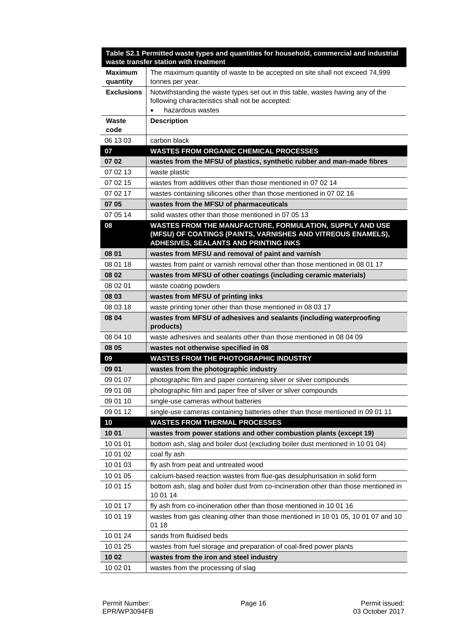|                      | Table S2.1 Permitted waste types and quantities for household, commercial and industrial<br>waste transfer station with treatment |
|----------------------|-----------------------------------------------------------------------------------------------------------------------------------|
| <b>Maximum</b>       | The maximum quantity of waste to be accepted on site shall not exceed 74,999                                                      |
| quantity             | tonnes per year.                                                                                                                  |
| <b>Exclusions</b>    | Notwithstanding the waste types set out in this table, wastes having any of the                                                   |
|                      | following characteristics shall not be accepted:                                                                                  |
| Waste                | hazardous wastes                                                                                                                  |
| code                 | <b>Description</b>                                                                                                                |
| 06 13 03             | carbon black                                                                                                                      |
| 07                   | <b>WASTES FROM ORGANIC CHEMICAL PROCESSES</b>                                                                                     |
| 07 02                | wastes from the MFSU of plastics, synthetic rubber and man-made fibres                                                            |
| 07 02 13             | waste plastic                                                                                                                     |
| 07 02 15             | wastes from additives other than those mentioned in 07 02 14                                                                      |
| 07 02 17             | wastes containing silicones other than those mentioned in 07 02 16                                                                |
| 07 05                | wastes from the MFSU of pharmaceuticals                                                                                           |
| 07 05 14             | solid wastes other than those mentioned in 07 05 13                                                                               |
| 08                   | WASTES FROM THE MANUFACTURE, FORMULATION, SUPPLY AND USE                                                                          |
|                      | (MFSU) OF COATINGS (PAINTS, VARNISHES AND VITREOUS ENAMELS),<br>ADHESIVES, SEALANTS AND PRINTING INKS                             |
| 08 01                | wastes from MFSU and removal of paint and varnish                                                                                 |
| 08 01 18             | wastes from paint or varnish removal other than those mentioned in 08 01 17                                                       |
| 08 02                | wastes from MFSU of other coatings (including ceramic materials)                                                                  |
| 08 02 01             | waste coating powders                                                                                                             |
| 08 03                | wastes from MFSU of printing inks                                                                                                 |
| 08 03 18             | waste printing toner other than those mentioned in 08 03 17                                                                       |
| 08 04                | wastes from MFSU of adhesives and sealants (including waterproofing<br>products)                                                  |
| 08 04 10             | waste adhesives and sealants other than those mentioned in 08 04 09                                                               |
| 08 05                | wastes not otherwise specified in 08                                                                                              |
| 09                   | <b>WASTES FROM THE PHOTOGRAPHIC INDUSTRY</b>                                                                                      |
| 09 01                | wastes from the photographic industry                                                                                             |
| 09 01 07             | photographic film and paper containing silver or silver compounds                                                                 |
| 09 01 08             | photographic film and paper free of silver or silver compounds                                                                    |
| 09 01 10             | single-use cameras without batteries                                                                                              |
| 09 01 12             | single-use cameras containing batteries other than those mentioned in 09 01 11                                                    |
| 10                   | <b>WASTES FROM THERMAL PROCESSES</b>                                                                                              |
| 10 01                | wastes from power stations and other combustion plants (except 19)                                                                |
| 10 01 01             | bottom ash, slag and boiler dust (excluding boiler dust mentioned in 10 01 04)                                                    |
| 10 01 02<br>10 01 03 | coal fly ash<br>fly ash from peat and untreated wood                                                                              |
| 10 01 05             | calcium-based reaction wastes from flue-gas desulphurisation in solid form                                                        |
| 10 01 15             | bottom ash, slag and boiler dust from co-incineration other than those mentioned in                                               |
|                      | 10 01 14                                                                                                                          |
| 10 01 17             | fly ash from co-incineration other than those mentioned in 10 01 16                                                               |
| 10 01 19             | wastes from gas cleaning other than those mentioned in 10 01 05, 10 01 07 and 10<br>01 18                                         |
| 10 01 24             | sands from fluidised beds                                                                                                         |
| 10 01 25             | wastes from fuel storage and preparation of coal-fired power plants                                                               |
| 10 02                | wastes from the iron and steel industry                                                                                           |
| 10 02 01             | wastes from the processing of slag                                                                                                |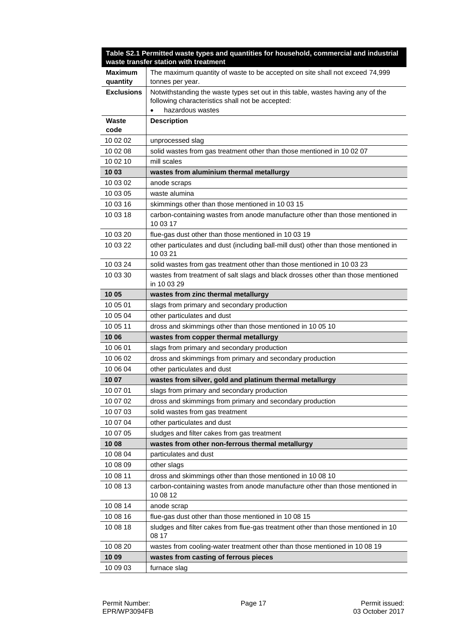|                            | Table S2.1 Permitted waste types and quantities for household, commercial and industrial<br>waste transfer station with treatment |
|----------------------------|-----------------------------------------------------------------------------------------------------------------------------------|
| <b>Maximum</b><br>quantity | The maximum quantity of waste to be accepted on site shall not exceed 74,999<br>tonnes per year.                                  |
| <b>Exclusions</b>          | Notwithstanding the waste types set out in this table, wastes having any of the                                                   |
|                            | following characteristics shall not be accepted:                                                                                  |
|                            | hazardous wastes                                                                                                                  |
| Waste                      | <b>Description</b>                                                                                                                |
| code                       |                                                                                                                                   |
| 10 02 02                   | unprocessed slag                                                                                                                  |
| 10 02 08                   | solid wastes from gas treatment other than those mentioned in 10 02 07                                                            |
| 10 02 10                   | mill scales                                                                                                                       |
| 10 03                      | wastes from aluminium thermal metallurgy                                                                                          |
| 10 03 02                   | anode scraps                                                                                                                      |
| 10 03 05                   | waste alumina                                                                                                                     |
| 10 03 16                   | skimmings other than those mentioned in 10 03 15                                                                                  |
| 10 03 18                   | carbon-containing wastes from anode manufacture other than those mentioned in<br>10 03 17                                         |
| 10 03 20                   | flue-gas dust other than those mentioned in 10 03 19                                                                              |
| 10 03 22                   | other particulates and dust (including ball-mill dust) other than those mentioned in<br>10 03 21                                  |
| 10 03 24                   | solid wastes from gas treatment other than those mentioned in 10 03 23                                                            |
| 10 03 30                   | wastes from treatment of salt slags and black drosses other than those mentioned<br>in 10 03 29                                   |
| 10 05                      | wastes from zinc thermal metallurgy                                                                                               |
| 10 05 01                   | slags from primary and secondary production                                                                                       |
| 10 05 04                   | other particulates and dust                                                                                                       |
| 10 05 11                   | dross and skimmings other than those mentioned in 10 05 10                                                                        |
| 10 06                      | wastes from copper thermal metallurgy                                                                                             |
| 10 06 01                   | slags from primary and secondary production                                                                                       |
| 10 06 02                   | dross and skimmings from primary and secondary production                                                                         |
| 10 06 04                   | other particulates and dust                                                                                                       |
| 10 07                      | wastes from silver, gold and platinum thermal metallurgy                                                                          |
| 10 07 01                   | slags from primary and secondary production                                                                                       |
| 10 07 02                   | dross and skimmings from primary and secondary production                                                                         |
| 10 07 03                   | solid wastes from gas treatment                                                                                                   |
| 10 07 04                   | other particulates and dust                                                                                                       |
| 10 07 05                   | sludges and filter cakes from gas treatment                                                                                       |
| 10 08                      | wastes from other non-ferrous thermal metallurgy                                                                                  |
| 10 08 04                   | particulates and dust                                                                                                             |
| 10 08 09                   | other slags                                                                                                                       |
| 10 08 11                   | dross and skimmings other than those mentioned in 10 08 10                                                                        |
| 10 08 13                   | carbon-containing wastes from anode manufacture other than those mentioned in<br>10 08 12                                         |
| 10 08 14                   | anode scrap                                                                                                                       |
| 10 08 16                   | flue-gas dust other than those mentioned in 10 08 15                                                                              |
| 10 08 18                   | sludges and filter cakes from flue-gas treatment other than those mentioned in 10<br>08 17                                        |
| 10 08 20                   | wastes from cooling-water treatment other than those mentioned in 10 08 19                                                        |
| 10 09                      | wastes from casting of ferrous pieces                                                                                             |
| 10 09 03                   | furnace slag                                                                                                                      |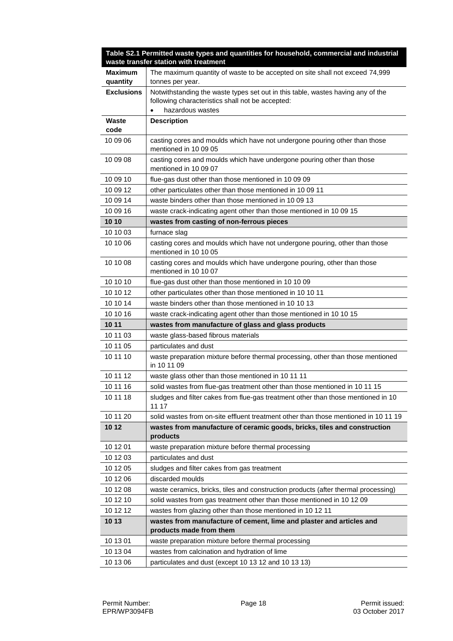| Table S2.1 Permitted waste types and quantities for household, commercial and industrial<br>waste transfer station with treatment |                                                                                                                                     |  |
|-----------------------------------------------------------------------------------------------------------------------------------|-------------------------------------------------------------------------------------------------------------------------------------|--|
| <b>Maximum</b><br>quantity                                                                                                        | The maximum quantity of waste to be accepted on site shall not exceed 74,999<br>tonnes per year.                                    |  |
| <b>Exclusions</b>                                                                                                                 | Notwithstanding the waste types set out in this table, wastes having any of the<br>following characteristics shall not be accepted: |  |
|                                                                                                                                   | hazardous wastes                                                                                                                    |  |
| Waste<br>code                                                                                                                     | <b>Description</b>                                                                                                                  |  |
| 10 09 06                                                                                                                          | casting cores and moulds which have not undergone pouring other than those<br>mentioned in 10 09 05                                 |  |
| 10 09 08                                                                                                                          | casting cores and moulds which have undergone pouring other than those<br>mentioned in 10 09 07                                     |  |
| 10 09 10                                                                                                                          | flue-gas dust other than those mentioned in 10 09 09                                                                                |  |
| 10 09 12                                                                                                                          | other particulates other than those mentioned in 10 09 11                                                                           |  |
| 10 09 14                                                                                                                          | waste binders other than those mentioned in 10 09 13                                                                                |  |
| 10 09 16                                                                                                                          | waste crack-indicating agent other than those mentioned in 10 09 15                                                                 |  |
| 10 10                                                                                                                             | wastes from casting of non-ferrous pieces                                                                                           |  |
| 10 10 03                                                                                                                          | furnace slag                                                                                                                        |  |
| 10 10 06                                                                                                                          | casting cores and moulds which have not undergone pouring, other than those<br>mentioned in 10 10 05                                |  |
| 10 10 08                                                                                                                          | casting cores and moulds which have undergone pouring, other than those<br>mentioned in 10 10 07                                    |  |
| 10 10 10                                                                                                                          | flue-gas dust other than those mentioned in 10 10 09                                                                                |  |
| 10 10 12                                                                                                                          | other particulates other than those mentioned in 10 10 11                                                                           |  |
| 10 10 14                                                                                                                          | waste binders other than those mentioned in 10 10 13                                                                                |  |
| 10 10 16                                                                                                                          | waste crack-indicating agent other than those mentioned in 10 10 15                                                                 |  |
| 10 11                                                                                                                             | wastes from manufacture of glass and glass products                                                                                 |  |
| 10 11 03                                                                                                                          | waste glass-based fibrous materials                                                                                                 |  |
| 10 11 05                                                                                                                          | particulates and dust                                                                                                               |  |
| 10 11 10                                                                                                                          | waste preparation mixture before thermal processing, other than those mentioned<br>in 10 11 09                                      |  |
| 10 11 12                                                                                                                          | waste glass other than those mentioned in 10 11 11                                                                                  |  |
| 10 11 16                                                                                                                          | solid wastes from flue-gas treatment other than those mentioned in 10 11 15                                                         |  |
| 10 11 18                                                                                                                          | sludges and filter cakes from flue-gas treatment other than those mentioned in 10<br>11 17                                          |  |
| 10 11 20                                                                                                                          | solid wastes from on-site effluent treatment other than those mentioned in 10 11 19                                                 |  |
| 10 12                                                                                                                             | wastes from manufacture of ceramic goods, bricks, tiles and construction<br>products                                                |  |
| 10 12 01                                                                                                                          | waste preparation mixture before thermal processing                                                                                 |  |
| 10 12 03                                                                                                                          | particulates and dust                                                                                                               |  |
| 10 12 05                                                                                                                          | sludges and filter cakes from gas treatment                                                                                         |  |
| 10 12 06                                                                                                                          | discarded moulds                                                                                                                    |  |
| 10 12 08                                                                                                                          | waste ceramics, bricks, tiles and construction products (after thermal processing)                                                  |  |
| 10 12 10                                                                                                                          | solid wastes from gas treatment other than those mentioned in 10 12 09                                                              |  |
| 10 12 12                                                                                                                          | wastes from glazing other than those mentioned in 10 12 11                                                                          |  |
| 10 13                                                                                                                             | wastes from manufacture of cement, lime and plaster and articles and                                                                |  |
|                                                                                                                                   | products made from them                                                                                                             |  |
| 10 13 01                                                                                                                          | waste preparation mixture before thermal processing                                                                                 |  |
| 10 13 04                                                                                                                          | wastes from calcination and hydration of lime                                                                                       |  |
| 10 13 06                                                                                                                          | particulates and dust (except 10 13 12 and 10 13 13)                                                                                |  |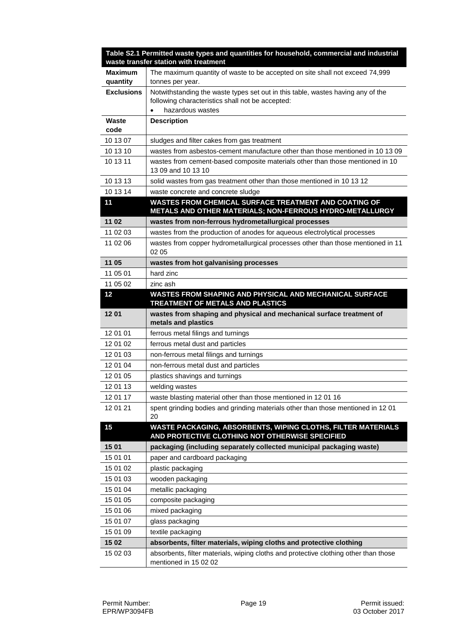|                            | Table S2.1 Permitted waste types and quantities for household, commercial and industrial<br>waste transfer station with treatment                           |
|----------------------------|-------------------------------------------------------------------------------------------------------------------------------------------------------------|
| <b>Maximum</b><br>quantity | The maximum quantity of waste to be accepted on site shall not exceed 74,999<br>tonnes per year.                                                            |
| <b>Exclusions</b>          | Notwithstanding the waste types set out in this table, wastes having any of the<br>following characteristics shall not be accepted:<br>hazardous wastes     |
| Waste<br>code              | <b>Description</b>                                                                                                                                          |
| 10 13 07                   | sludges and filter cakes from gas treatment                                                                                                                 |
| 10 13 10                   | wastes from asbestos-cement manufacture other than those mentioned in 10 13 09                                                                              |
| 10 13 11                   | wastes from cement-based composite materials other than those mentioned in 10<br>13 09 and 10 13 10                                                         |
| 10 13 13                   | solid wastes from gas treatment other than those mentioned in 10 13 12                                                                                      |
| 10 13 14                   | waste concrete and concrete sludge                                                                                                                          |
| 11                         | WASTES FROM CHEMICAL SURFACE TREATMENT AND COATING OF<br>METALS AND OTHER MATERIALS; NON-FERROUS HYDRO-METALLURGY                                           |
| 11 02                      | wastes from non-ferrous hydrometallurgical processes                                                                                                        |
| 11 02 03                   | wastes from the production of anodes for aqueous electrolytical processes                                                                                   |
| 11 02 06                   | wastes from copper hydrometallurgical processes other than those mentioned in 11<br>02 05                                                                   |
| 11 05                      | wastes from hot galvanising processes                                                                                                                       |
| 11 05 01                   | hard zinc                                                                                                                                                   |
| 11 05 02                   | zinc ash                                                                                                                                                    |
| 12                         | WASTES FROM SHAPING AND PHYSICAL AND MECHANICAL SURFACE<br>TREATMENT OF METALS AND PLASTICS                                                                 |
| 12 01                      | wastes from shaping and physical and mechanical surface treatment of<br>metals and plastics                                                                 |
| 12 01 01                   | ferrous metal filings and turnings                                                                                                                          |
| 12 01 02                   | ferrous metal dust and particles                                                                                                                            |
| 12 01 03                   | non-ferrous metal filings and turnings                                                                                                                      |
| 12 01 04                   | non-ferrous metal dust and particles                                                                                                                        |
| 12 01 05                   | plastics shavings and turnings                                                                                                                              |
| 12 01 13                   | welding wastes                                                                                                                                              |
| 12 01 17                   | waste blasting material other than those mentioned in 12 01 16                                                                                              |
| 12 01 21                   | spent grinding bodies and grinding materials other than those mentioned in 12 01<br>20                                                                      |
| 15                         | WASTE PACKAGING, ABSORBENTS, WIPING CLOTHS, FILTER MATERIALS<br>AND PROTECTIVE CLOTHING NOT OTHERWISE SPECIFIED                                             |
| 15 01                      | packaging (including separately collected municipal packaging waste)                                                                                        |
| 15 01 01                   | paper and cardboard packaging                                                                                                                               |
| 15 01 02                   | plastic packaging                                                                                                                                           |
| 15 01 03                   | wooden packaging                                                                                                                                            |
| 15 01 04                   | metallic packaging                                                                                                                                          |
| 15 01 05                   | composite packaging                                                                                                                                         |
| 15 01 06                   | mixed packaging                                                                                                                                             |
| 15 01 07                   | glass packaging                                                                                                                                             |
| 15 01 09                   | textile packaging                                                                                                                                           |
| 15 02<br>15 02 03          | absorbents, filter materials, wiping cloths and protective clothing<br>absorbents, filter materials, wiping cloths and protective clothing other than those |
|                            |                                                                                                                                                             |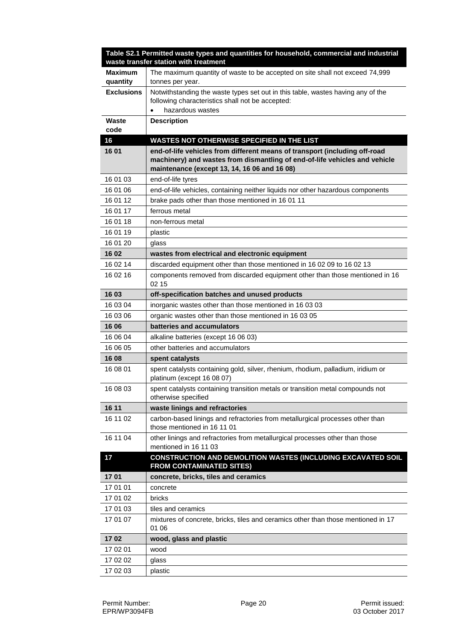|                     | Table S2.1 Permitted waste types and quantities for household, commercial and industrial<br>waste transfer station with treatment                                                                        |  |
|---------------------|----------------------------------------------------------------------------------------------------------------------------------------------------------------------------------------------------------|--|
| Maximum<br>quantity | The maximum quantity of waste to be accepted on site shall not exceed 74,999<br>tonnes per year.                                                                                                         |  |
| <b>Exclusions</b>   | Notwithstanding the waste types set out in this table, wastes having any of the<br>following characteristics shall not be accepted:                                                                      |  |
|                     | hazardous wastes                                                                                                                                                                                         |  |
| Waste<br>code       | <b>Description</b>                                                                                                                                                                                       |  |
| 16                  | WASTES NOT OTHERWISE SPECIFIED IN THE LIST                                                                                                                                                               |  |
| 16 01               | end-of-life vehicles from different means of transport (including off-road<br>machinery) and wastes from dismantling of end-of-life vehicles and vehicle<br>maintenance (except 13, 14, 16 06 and 16 08) |  |
| 16 01 03            | end-of-life tyres                                                                                                                                                                                        |  |
| 16 01 06            | end-of-life vehicles, containing neither liquids nor other hazardous components                                                                                                                          |  |
| 16 01 12            | brake pads other than those mentioned in 16 01 11                                                                                                                                                        |  |
| 16 01 17            | ferrous metal                                                                                                                                                                                            |  |
| 16 01 18            | non-ferrous metal                                                                                                                                                                                        |  |
| 16 01 19            | plastic                                                                                                                                                                                                  |  |
| 16 01 20            | glass                                                                                                                                                                                                    |  |
| 16 02               | wastes from electrical and electronic equipment                                                                                                                                                          |  |
| 16 02 14            | discarded equipment other than those mentioned in 16 02 09 to 16 02 13                                                                                                                                   |  |
| 16 02 16            | components removed from discarded equipment other than those mentioned in 16<br>02 15                                                                                                                    |  |
| 16 03               | off-specification batches and unused products                                                                                                                                                            |  |
| 16 03 04            | inorganic wastes other than those mentioned in 16 03 03                                                                                                                                                  |  |
| 16 03 06            | organic wastes other than those mentioned in 16 03 05                                                                                                                                                    |  |
| 16 06               | batteries and accumulators                                                                                                                                                                               |  |
| 16 06 04            | alkaline batteries (except 16 06 03)                                                                                                                                                                     |  |
| 16 06 05            | other batteries and accumulators                                                                                                                                                                         |  |
| 16 08               | spent catalysts                                                                                                                                                                                          |  |
| 16 08 01            | spent catalysts containing gold, silver, rhenium, rhodium, palladium, iridium or<br>platinum (except 16 08 07)                                                                                           |  |
| 16 08 03            | spent catalysts containing transition metals or transition metal compounds not<br>otherwise specified                                                                                                    |  |
| 16 11               | waste linings and refractories                                                                                                                                                                           |  |
| 16 11 02            | carbon-based linings and refractories from metallurgical processes other than<br>those mentioned in 16 11 01                                                                                             |  |
| 16 11 04            | other linings and refractories from metallurgical processes other than those<br>mentioned in 16 11 03                                                                                                    |  |
| 17                  | CONSTRUCTION AND DEMOLITION WASTES (INCLUDING EXCAVATED SOIL<br><b>FROM CONTAMINATED SITES)</b>                                                                                                          |  |
| 17 01               | concrete, bricks, tiles and ceramics                                                                                                                                                                     |  |
| 17 01 01            | concrete                                                                                                                                                                                                 |  |
| 17 01 02            | bricks                                                                                                                                                                                                   |  |
| 17 01 03            | tiles and ceramics                                                                                                                                                                                       |  |
| 17 01 07            | mixtures of concrete, bricks, tiles and ceramics other than those mentioned in 17<br>01 06                                                                                                               |  |
| 1702                | wood, glass and plastic                                                                                                                                                                                  |  |
| 17 02 01            | wood                                                                                                                                                                                                     |  |
| 17 02 02            | glass                                                                                                                                                                                                    |  |
| 17 02 03            | plastic                                                                                                                                                                                                  |  |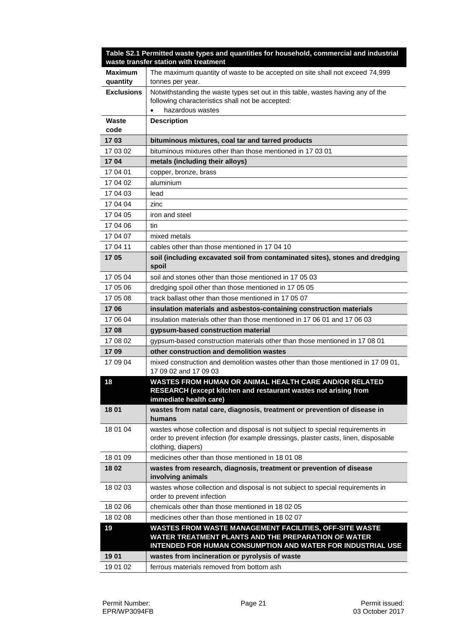|                            | Table S2.1 Permitted waste types and quantities for household, commercial and industrial<br>waste transfer station with treatment                                                           |  |
|----------------------------|---------------------------------------------------------------------------------------------------------------------------------------------------------------------------------------------|--|
| <b>Maximum</b><br>quantity | The maximum quantity of waste to be accepted on site shall not exceed 74,999<br>tonnes per year.                                                                                            |  |
| <b>Exclusions</b>          | Notwithstanding the waste types set out in this table, wastes having any of the<br>following characteristics shall not be accepted:<br>hazardous wastes                                     |  |
| Waste<br>code              | <b>Description</b>                                                                                                                                                                          |  |
| 1703                       | bituminous mixtures, coal tar and tarred products                                                                                                                                           |  |
| 17 03 02                   | bituminous mixtures other than those mentioned in 17 03 01                                                                                                                                  |  |
| 1704                       | metals (including their alloys)                                                                                                                                                             |  |
| 17 04 01                   | copper, bronze, brass                                                                                                                                                                       |  |
| 17 04 02                   | aluminium                                                                                                                                                                                   |  |
| 17 04 03                   | lead                                                                                                                                                                                        |  |
| 17 04 04                   | zinc                                                                                                                                                                                        |  |
| 17 04 05                   | iron and steel                                                                                                                                                                              |  |
| 17 04 06                   | tin                                                                                                                                                                                         |  |
| 17 04 07                   | mixed metals                                                                                                                                                                                |  |
| 17 04 11                   | cables other than those mentioned in 17 04 10                                                                                                                                               |  |
| 1705                       | soil (including excavated soil from contaminated sites), stones and dredging<br>spoil                                                                                                       |  |
| 17 05 04                   | soil and stones other than those mentioned in 17 05 03                                                                                                                                      |  |
| 17 05 06                   | dredging spoil other than those mentioned in 17 05 05                                                                                                                                       |  |
| 17 05 08                   | track ballast other than those mentioned in 17 05 07                                                                                                                                        |  |
| 1706                       | insulation materials and asbestos-containing construction materials                                                                                                                         |  |
| 17 06 04                   | insulation materials other than those mentioned in 17 06 01 and 17 06 03                                                                                                                    |  |
| 1708                       | gypsum-based construction material                                                                                                                                                          |  |
| 17 08 02                   | gypsum-based construction materials other than those mentioned in 17 08 01                                                                                                                  |  |
| 1709                       | other construction and demolition wastes                                                                                                                                                    |  |
| 17 09 04                   | mixed construction and demolition wastes other than those mentioned in 17 09 01,<br>17 09 02 and 17 09 03                                                                                   |  |
| 18                         | WASTES FROM HUMAN OR ANIMAL HEALTH CARE AND/OR RELATED<br>RESEARCH (except kitchen and restaurant wastes not arising from<br>immediate health care)                                         |  |
| 18 01                      | wastes from natal care, diagnosis, treatment or prevention of disease in<br>humans                                                                                                          |  |
| 18 01 04                   | wastes whose collection and disposal is not subject to special requirements in<br>order to prevent infection (for example dressings, plaster casts, linen, disposable<br>clothing, diapers) |  |
| 18 01 09                   | medicines other than those mentioned in 18 01 08                                                                                                                                            |  |
| 18 02                      | wastes from research, diagnosis, treatment or prevention of disease<br>involving animals                                                                                                    |  |
| 18 02 03                   | wastes whose collection and disposal is not subject to special requirements in<br>order to prevent infection                                                                                |  |
| 18 02 06                   | chemicals other than those mentioned in 180205                                                                                                                                              |  |
| 18 02 08                   | medicines other than those mentioned in 18 02 07                                                                                                                                            |  |
| 19                         | WASTES FROM WASTE MANAGEMENT FACILITIES, OFF-SITE WASTE<br>WATER TREATMENT PLANTS AND THE PREPARATION OF WATER<br>INTENDED FOR HUMAN CONSUMPTION AND WATER FOR INDUSTRIAL USE               |  |
| 1901                       | wastes from incineration or pyrolysis of waste                                                                                                                                              |  |
| 19 01 02                   | ferrous materials removed from bottom ash                                                                                                                                                   |  |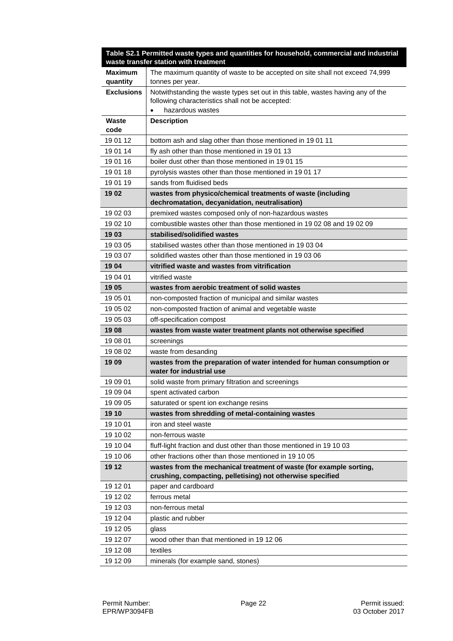|                            | Table S2.1 Permitted waste types and quantities for household, commercial and industrial<br>waste transfer station with treatment   |  |
|----------------------------|-------------------------------------------------------------------------------------------------------------------------------------|--|
| <b>Maximum</b><br>quantity | The maximum quantity of waste to be accepted on site shall not exceed 74,999<br>tonnes per year.                                    |  |
| <b>Exclusions</b>          | Notwithstanding the waste types set out in this table, wastes having any of the<br>following characteristics shall not be accepted: |  |
|                            | hazardous wastes                                                                                                                    |  |
| Waste                      | <b>Description</b>                                                                                                                  |  |
| code                       |                                                                                                                                     |  |
| 19 01 12                   | bottom ash and slag other than those mentioned in 19 01 11                                                                          |  |
| 19 01 14                   | fly ash other than those mentioned in 1901 13                                                                                       |  |
| 19 01 16                   | boiler dust other than those mentioned in 19 01 15                                                                                  |  |
| 19 01 18                   | pyrolysis wastes other than those mentioned in 19 01 17                                                                             |  |
| 19 01 19                   | sands from fluidised beds                                                                                                           |  |
| 19 02                      | wastes from physico/chemical treatments of waste (including<br>dechromatation, decyanidation, neutralisation)                       |  |
| 19 02 03                   | premixed wastes composed only of non-hazardous wastes                                                                               |  |
| 19 02 10                   | combustible wastes other than those mentioned in 1902 08 and 1902 09                                                                |  |
| 19 03                      | stabilised/solidified wastes                                                                                                        |  |
| 19 03 05                   | stabilised wastes other than those mentioned in 190304                                                                              |  |
| 19 03 07                   | solidified wastes other than those mentioned in 190306                                                                              |  |
| 19 04                      | vitrified waste and wastes from vitrification                                                                                       |  |
| 19 04 01                   | vitrified waste                                                                                                                     |  |
| 19 05                      | wastes from aerobic treatment of solid wastes                                                                                       |  |
| 19 05 01                   | non-composted fraction of municipal and similar wastes                                                                              |  |
| 19 05 02                   | non-composted fraction of animal and vegetable waste                                                                                |  |
| 19 05 03                   | off-specification compost                                                                                                           |  |
| 1908                       | wastes from waste water treatment plants not otherwise specified                                                                    |  |
| 19 08 01                   | screenings                                                                                                                          |  |
| 19 08 02                   | waste from desanding                                                                                                                |  |
| 1909                       | wastes from the preparation of water intended for human consumption or<br>water for industrial use                                  |  |
| 19 09 01                   | solid waste from primary filtration and screenings                                                                                  |  |
| 19 09 04                   | spent activated carbon                                                                                                              |  |
| 19 09 05                   | saturated or spent ion exchange resins                                                                                              |  |
| 19 10                      | wastes from shredding of metal-containing wastes                                                                                    |  |
| 19 10 01                   | iron and steel waste                                                                                                                |  |
| 19 10 02                   | non-ferrous waste                                                                                                                   |  |
| 19 10 04                   | fluff-light fraction and dust other than those mentioned in 19 10 03                                                                |  |
| 19 10 06                   | other fractions other than those mentioned in 19 10 05                                                                              |  |
| 19 12                      | wastes from the mechanical treatment of waste (for example sorting,<br>crushing, compacting, pelletising) not otherwise specified   |  |
| 19 12 01                   | paper and cardboard                                                                                                                 |  |
| 19 12 02                   | ferrous metal                                                                                                                       |  |
| 19 12 03                   | non-ferrous metal                                                                                                                   |  |
| 19 12 04                   | plastic and rubber                                                                                                                  |  |
| 19 12 05                   | glass                                                                                                                               |  |
| 19 12 07                   | wood other than that mentioned in 19 12 06                                                                                          |  |
| 19 12 08                   | textiles                                                                                                                            |  |
| 19 12 09                   | minerals (for example sand, stones)                                                                                                 |  |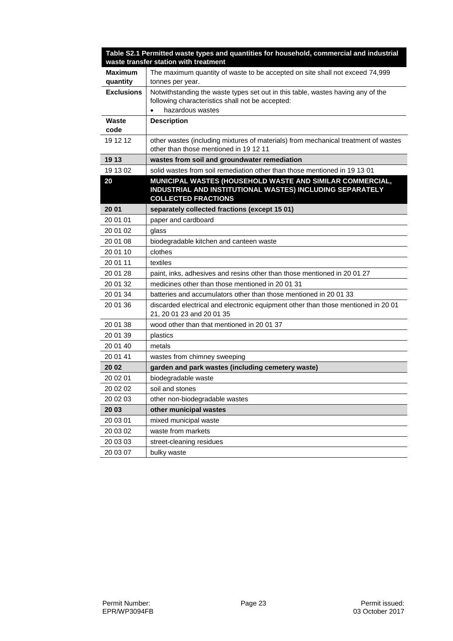|                            | Table S2.1 Permitted waste types and quantities for household, commercial and industrial<br>waste transfer station with treatment                       |  |
|----------------------------|---------------------------------------------------------------------------------------------------------------------------------------------------------|--|
| <b>Maximum</b><br>quantity | The maximum quantity of waste to be accepted on site shall not exceed 74,999<br>tonnes per year.                                                        |  |
| <b>Exclusions</b>          | Notwithstanding the waste types set out in this table, wastes having any of the<br>following characteristics shall not be accepted:<br>hazardous wastes |  |
| Waste<br>code              | <b>Description</b>                                                                                                                                      |  |
| 19 12 12                   | other wastes (including mixtures of materials) from mechanical treatment of wastes<br>other than those mentioned in 19 12 11                            |  |
| 19 13                      | wastes from soil and groundwater remediation                                                                                                            |  |
| 19 13 02                   | solid wastes from soil remediation other than those mentioned in 19 13 01                                                                               |  |
| 20                         | MUNICIPAL WASTES (HOUSEHOLD WASTE AND SIMILAR COMMERCIAL,<br>INDUSTRIAL AND INSTITUTIONAL WASTES) INCLUDING SEPARATELY<br><b>COLLECTED FRACTIONS</b>    |  |
| 20 01                      | separately collected fractions (except 15 01)                                                                                                           |  |
| 20 01 01                   | paper and cardboard                                                                                                                                     |  |
| 20 01 02                   | glass                                                                                                                                                   |  |
| 20 01 08                   | biodegradable kitchen and canteen waste                                                                                                                 |  |
| 20 01 10                   | clothes                                                                                                                                                 |  |
| 20 01 11                   | textiles                                                                                                                                                |  |
| 20 01 28                   | paint, inks, adhesives and resins other than those mentioned in 200127                                                                                  |  |
| 20 01 32                   | medicines other than those mentioned in 20 01 31                                                                                                        |  |
| 20 01 34                   | batteries and accumulators other than those mentioned in 2001 33                                                                                        |  |
| 20 01 36                   | discarded electrical and electronic equipment other than those mentioned in 20 01<br>21, 20 01 23 and 20 01 35                                          |  |
| 20 01 38                   | wood other than that mentioned in 2001 37                                                                                                               |  |
| 20 01 39                   | plastics                                                                                                                                                |  |
| 20 01 40                   | metals                                                                                                                                                  |  |
| 20 01 41                   | wastes from chimney sweeping                                                                                                                            |  |
| 20 02                      | garden and park wastes (including cemetery waste)                                                                                                       |  |
| 20 02 01                   | biodegradable waste                                                                                                                                     |  |
| 20 02 02                   | soil and stones                                                                                                                                         |  |
| 20 02 03                   | other non-biodegradable wastes                                                                                                                          |  |
| 20 03                      | other municipal wastes                                                                                                                                  |  |
| 20 03 01                   | mixed municipal waste                                                                                                                                   |  |
| 20 03 02                   | waste from markets                                                                                                                                      |  |
| 20 03 03                   | street-cleaning residues                                                                                                                                |  |
| 20 03 07                   | bulky waste                                                                                                                                             |  |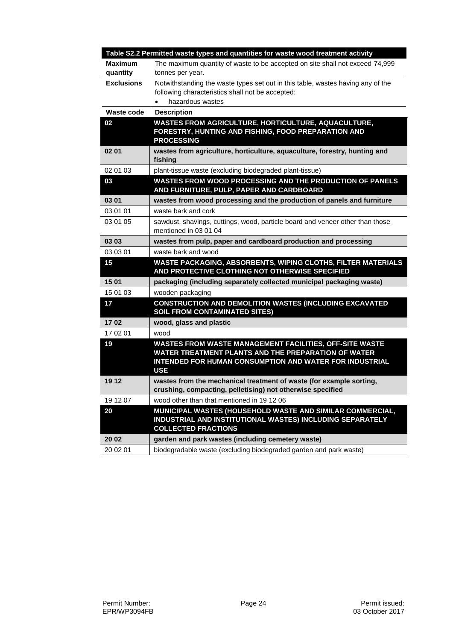|                   | Table S2.2 Permitted waste types and quantities for waste wood treatment activity                                                                                                       |
|-------------------|-----------------------------------------------------------------------------------------------------------------------------------------------------------------------------------------|
| Maximum           | The maximum quantity of waste to be accepted on site shall not exceed 74,999                                                                                                            |
| quantity          | tonnes per year.                                                                                                                                                                        |
| <b>Exclusions</b> | Notwithstanding the waste types set out in this table, wastes having any of the                                                                                                         |
|                   | following characteristics shall not be accepted:                                                                                                                                        |
|                   | hazardous wastes                                                                                                                                                                        |
| Waste code        | <b>Description</b>                                                                                                                                                                      |
| 02                | <b>WASTES FROM AGRICULTURE, HORTICULTURE, AQUACULTURE,</b><br>FORESTRY, HUNTING AND FISHING, FOOD PREPARATION AND<br><b>PROCESSING</b>                                                  |
| 02 01             | wastes from agriculture, horticulture, aquaculture, forestry, hunting and<br>fishing                                                                                                    |
| 02 01 03          | plant-tissue waste (excluding biodegraded plant-tissue)                                                                                                                                 |
| 03                | <b>WASTES FROM WOOD PROCESSING AND THE PRODUCTION OF PANELS</b><br>AND FURNITURE, PULP, PAPER AND CARDBOARD                                                                             |
| 03 01             | wastes from wood processing and the production of panels and furniture                                                                                                                  |
| 03 01 01          | waste bark and cork                                                                                                                                                                     |
| 03 01 05          | sawdust, shavings, cuttings, wood, particle board and veneer other than those<br>mentioned in 03 01 04                                                                                  |
| 03 03             | wastes from pulp, paper and cardboard production and processing                                                                                                                         |
| 03 03 01          | waste bark and wood                                                                                                                                                                     |
| 15                | WASTE PACKAGING, ABSORBENTS, WIPING CLOTHS, FILTER MATERIALS<br>AND PROTECTIVE CLOTHING NOT OTHERWISE SPECIFIED                                                                         |
| 15 01             | packaging (including separately collected municipal packaging waste)                                                                                                                    |
| 15 01 03          | wooden packaging                                                                                                                                                                        |
| 17                | <b>CONSTRUCTION AND DEMOLITION WASTES (INCLUDING EXCAVATED</b><br><b>SOIL FROM CONTAMINATED SITES)</b>                                                                                  |
| 1702              | wood, glass and plastic                                                                                                                                                                 |
| 17 02 01          | wood                                                                                                                                                                                    |
| 19                | WASTES FROM WASTE MANAGEMENT FACILITIES, OFF-SITE WASTE<br>WATER TREATMENT PLANTS AND THE PREPARATION OF WATER<br>INTENDED FOR HUMAN CONSUMPTION AND WATER FOR INDUSTRIAL<br><b>USE</b> |
| 19 12             | wastes from the mechanical treatment of waste (for example sorting,<br>crushing, compacting, pelletising) not otherwise specified                                                       |
| 19 12 07          | wood other than that mentioned in 19 12 06                                                                                                                                              |
| 20                | MUNICIPAL WASTES (HOUSEHOLD WASTE AND SIMILAR COMMERCIAL,<br>INDUSTRIAL AND INSTITUTIONAL WASTES) INCLUDING SEPARATELY<br><b>COLLECTED FRACTIONS</b>                                    |
| 20 02             | garden and park wastes (including cemetery waste)                                                                                                                                       |
| 20 02 01          | biodegradable waste (excluding biodegraded garden and park waste)                                                                                                                       |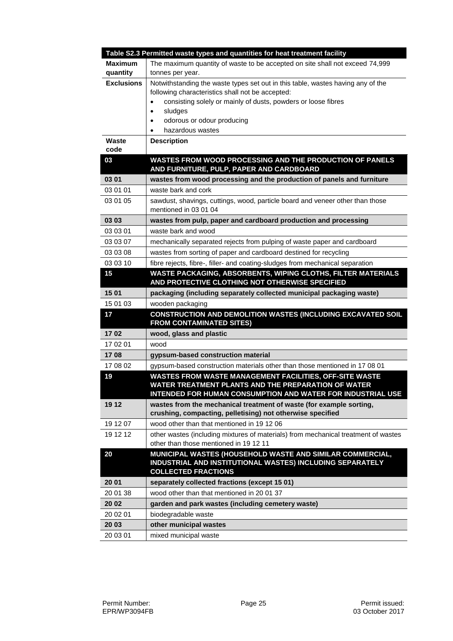|                     | Table S2.3 Permitted waste types and quantities for heat treatment facility                                                                                                                                                                                                                      |
|---------------------|--------------------------------------------------------------------------------------------------------------------------------------------------------------------------------------------------------------------------------------------------------------------------------------------------|
| Maximum<br>quantity | The maximum quantity of waste to be accepted on site shall not exceed 74,999<br>tonnes per year.                                                                                                                                                                                                 |
| <b>Exclusions</b>   | Notwithstanding the waste types set out in this table, wastes having any of the<br>following characteristics shall not be accepted:<br>consisting solely or mainly of dusts, powders or loose fibres<br>$\bullet$<br>sludges<br>$\bullet$<br>odorous or odour producing<br>٠<br>hazardous wastes |
| Waste<br>code       | <b>Description</b>                                                                                                                                                                                                                                                                               |
| 03                  | WASTES FROM WOOD PROCESSING AND THE PRODUCTION OF PANELS<br>AND FURNITURE, PULP, PAPER AND CARDBOARD                                                                                                                                                                                             |
| 03 01               | wastes from wood processing and the production of panels and furniture                                                                                                                                                                                                                           |
| 03 01 01            | waste bark and cork                                                                                                                                                                                                                                                                              |
| 03 01 05            | sawdust, shavings, cuttings, wood, particle board and veneer other than those<br>mentioned in 03 01 04                                                                                                                                                                                           |
| 03 03               | wastes from pulp, paper and cardboard production and processing                                                                                                                                                                                                                                  |
| 03 03 01            | waste bark and wood                                                                                                                                                                                                                                                                              |
| 03 03 07            | mechanically separated rejects from pulping of waste paper and cardboard                                                                                                                                                                                                                         |
| 03 03 08            | wastes from sorting of paper and cardboard destined for recycling                                                                                                                                                                                                                                |
| 03 03 10            | fibre rejects, fibre-, filler- and coating-sludges from mechanical separation                                                                                                                                                                                                                    |
| 15                  | WASTE PACKAGING, ABSORBENTS, WIPING CLOTHS, FILTER MATERIALS<br>AND PROTECTIVE CLOTHING NOT OTHERWISE SPECIFIED                                                                                                                                                                                  |
| 15 01               | packaging (including separately collected municipal packaging waste)                                                                                                                                                                                                                             |
| 15 01 03            | wooden packaging                                                                                                                                                                                                                                                                                 |
| 17                  | CONSTRUCTION AND DEMOLITION WASTES (INCLUDING EXCAVATED SOIL<br><b>FROM CONTAMINATED SITES)</b>                                                                                                                                                                                                  |
| 1702                | wood, glass and plastic                                                                                                                                                                                                                                                                          |
| 17 02 01            | wood                                                                                                                                                                                                                                                                                             |
| 1708                | gypsum-based construction material                                                                                                                                                                                                                                                               |
| 17 08 02            | gypsum-based construction materials other than those mentioned in 17 08 01                                                                                                                                                                                                                       |
| 19                  | WASTES FROM WASTE MANAGEMENT FACILITIES, OFF-SITE WASTE<br>WATER TREATMENT PLANTS AND THE PREPARATION OF WATER<br>INTENDED FOR HUMAN CONSUMPTION AND WATER FOR INDUSTRIAL USE                                                                                                                    |
| 19 12               | wastes from the mechanical treatment of waste (for example sorting,<br>crushing, compacting, pelletising) not otherwise specified                                                                                                                                                                |
| 19 12 07            | wood other than that mentioned in 19 12 06                                                                                                                                                                                                                                                       |
| 19 12 12            | other wastes (including mixtures of materials) from mechanical treatment of wastes<br>other than those mentioned in 19 12 11                                                                                                                                                                     |
| 20                  | MUNICIPAL WASTES (HOUSEHOLD WASTE AND SIMILAR COMMERCIAL,<br>INDUSTRIAL AND INSTITUTIONAL WASTES) INCLUDING SEPARATELY<br><b>COLLECTED FRACTIONS</b>                                                                                                                                             |
| 20 01               | separately collected fractions (except 15 01)                                                                                                                                                                                                                                                    |
| 20 01 38            | wood other than that mentioned in 20 01 37                                                                                                                                                                                                                                                       |
| 20 02               | garden and park wastes (including cemetery waste)                                                                                                                                                                                                                                                |
| 20 02 01            | biodegradable waste                                                                                                                                                                                                                                                                              |
| 20 03               | other municipal wastes                                                                                                                                                                                                                                                                           |
| 20 03 01            | mixed municipal waste                                                                                                                                                                                                                                                                            |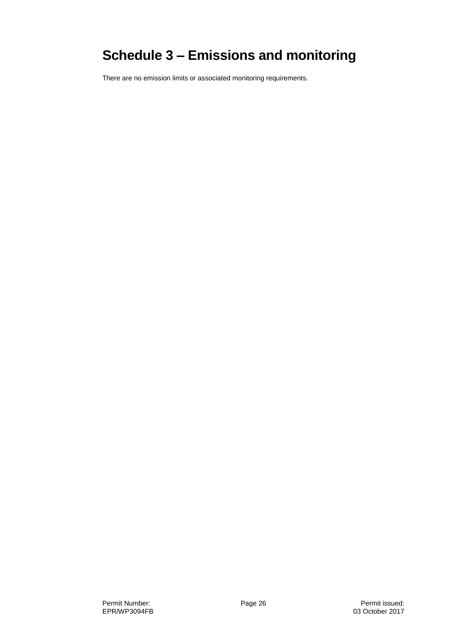# **Schedule 3 – Emissions and monitoring**

There are no emission limits or associated monitoring requirements.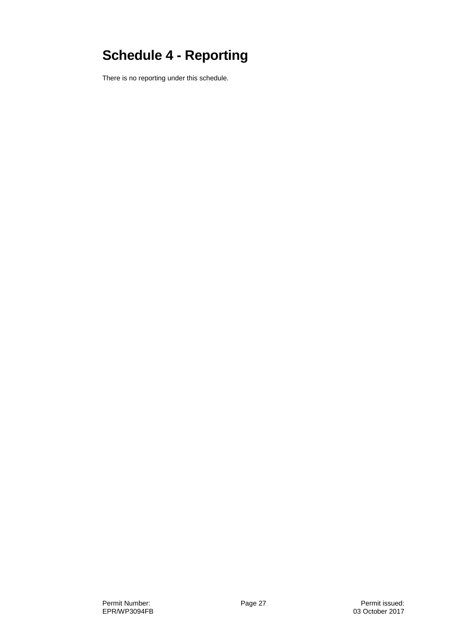# **Schedule 4 - Reporting**

There is no reporting under this schedule.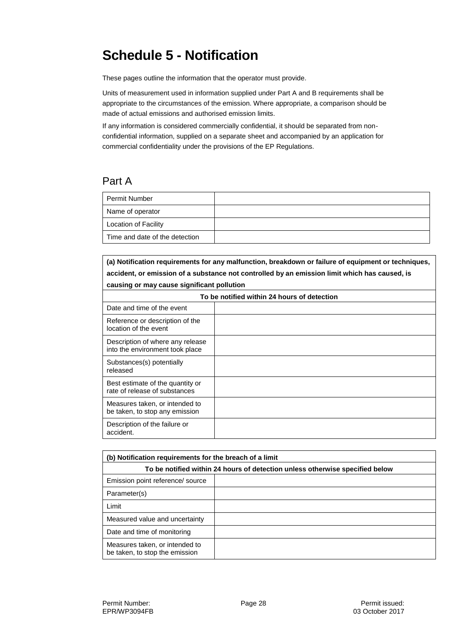# **Schedule 5 - Notification**

These pages outline the information that the operator must provide.

Units of measurement used in information supplied under Part A and B requirements shall be appropriate to the circumstances of the emission. Where appropriate, a comparison should be made of actual emissions and authorised emission limits.

If any information is considered commercially confidential, it should be separated from nonconfidential information, supplied on a separate sheet and accompanied by an application for commercial confidentiality under the provisions of the EP Regulations.

#### Part A

| <b>Permit Number</b>           |  |
|--------------------------------|--|
| Name of operator               |  |
| <b>Location of Facility</b>    |  |
| Time and date of the detection |  |

**(a) Notification requirements for any malfunction, breakdown or failure of equipment or techniques, accident, or emission of a substance not controlled by an emission limit which has caused, is causing or may cause significant pollution**

| To be notified within 24 hours of detection                         |  |  |
|---------------------------------------------------------------------|--|--|
| Date and time of the event                                          |  |  |
| Reference or description of the<br>location of the event            |  |  |
| Description of where any release<br>into the environment took place |  |  |
| Substances(s) potentially<br>released                               |  |  |
| Best estimate of the quantity or<br>rate of release of substances   |  |  |
| Measures taken, or intended to<br>be taken, to stop any emission    |  |  |
| Description of the failure or<br>accident.                          |  |  |

| (b) Notification requirements for the breach of a limit                      |  |  |
|------------------------------------------------------------------------------|--|--|
| To be notified within 24 hours of detection unless otherwise specified below |  |  |
| Emission point reference/ source                                             |  |  |
| Parameter(s)                                                                 |  |  |
| Limit                                                                        |  |  |
| Measured value and uncertainty                                               |  |  |
| Date and time of monitoring                                                  |  |  |
| Measures taken, or intended to<br>be taken, to stop the emission             |  |  |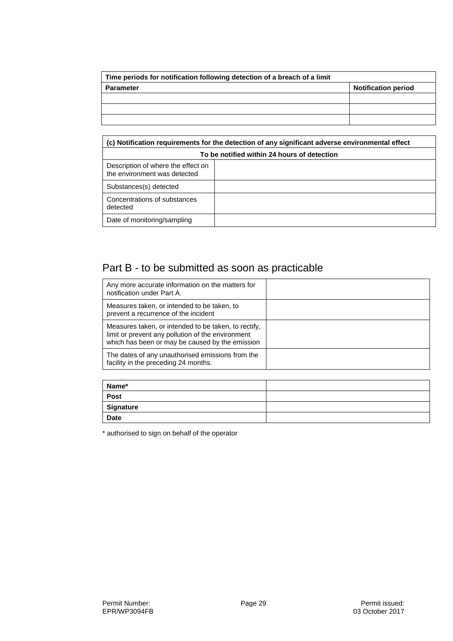| Time periods for notification following detection of a breach of a limit |                            |
|--------------------------------------------------------------------------|----------------------------|
| <b>Parameter</b>                                                         | <b>Notification period</b> |
|                                                                          |                            |
|                                                                          |                            |
|                                                                          |                            |

| (c) Notification requirements for the detection of any significant adverse environmental effect |  |  |
|-------------------------------------------------------------------------------------------------|--|--|
| To be notified within 24 hours of detection                                                     |  |  |
| Description of where the effect on<br>the environment was detected                              |  |  |
| Substances(s) detected                                                                          |  |  |
| Concentrations of substances<br>detected                                                        |  |  |
| Date of monitoring/sampling                                                                     |  |  |

## Part B - to be submitted as soon as practicable

| Any more accurate information on the matters for<br>notification under Part A.                                                                               |  |
|--------------------------------------------------------------------------------------------------------------------------------------------------------------|--|
| Measures taken, or intended to be taken, to<br>prevent a recurrence of the incident                                                                          |  |
| Measures taken, or intended to be taken, to rectify,<br>limit or prevent any pollution of the environment<br>which has been or may be caused by the emission |  |
| The dates of any unauthorised emissions from the<br>facility in the preceding 24 months.                                                                     |  |

| Name*            |  |
|------------------|--|
| <b>Post</b>      |  |
| <b>Signature</b> |  |
| <b>Date</b>      |  |

\* authorised to sign on behalf of the operator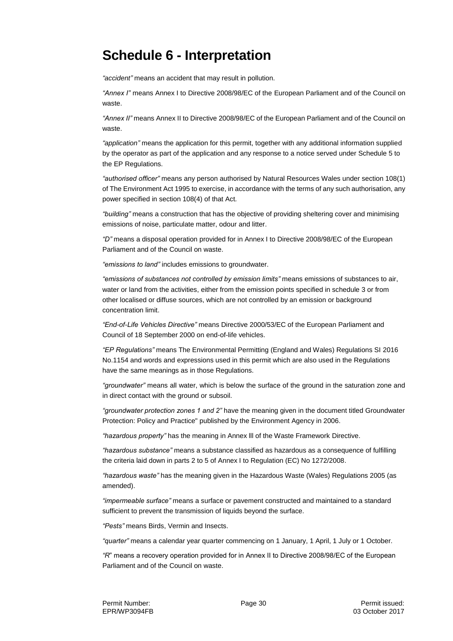## **Schedule 6 - Interpretation**

*"accident"* means an accident that may result in pollution.

*"Annex I"* means Annex I to Directive 2008/98/EC of the European Parliament and of the Council on waste.

*"Annex II"* means Annex II to Directive 2008/98/EC of the European Parliament and of the Council on waste.

*"application"* means the application for this permit, together with any additional information supplied by the operator as part of the application and any response to a notice served under Schedule 5 to the EP Regulations.

*"authorised officer"* means any person authorised by Natural Resources Wales under section 108(1) of The Environment Act 1995 to exercise, in accordance with the terms of any such authorisation, any power specified in section 108(4) of that Act*.*

*"building"* means a construction that has the objective of providing sheltering cover and minimising emissions of noise, particulate matter, odour and litter.

*"D"* means a disposal operation provided for in Annex I to Directive 2008/98/EC of the European Parliament and of the Council on waste.

*"emissions to land"* includes emissions to groundwater.

*"emissions of substances not controlled by emission limits"* means emissions of substances to air, water or land from the activities, either from the emission points specified in schedule 3 or from other localised or diffuse sources, which are not controlled by an emission or background concentration limit.

*"End-of-Life Vehicles Directive"* means Directive 2000/53/EC of the European Parliament and Council of 18 September 2000 on end-of-life vehicles.

*"EP Regulations"* means The Environmental Permitting (England and Wales) Regulations SI 2016 No.1154 and words and expressions used in this permit which are also used in the Regulations have the same meanings as in those Regulations.

*"groundwater"* means all water, which is below the surface of the ground in the saturation zone and in direct contact with the ground or subsoil.

*"groundwater protection zones 1 and 2"* have the meaning given in the document titled Groundwater Protection: Policy and Practice" published by the Environment Agency in 2006.

*"hazardous property"* has the meaning in Annex lll of the Waste Framework Directive.

*"hazardous substance"* means a substance classified as hazardous as a consequence of fulfilling the criteria laid down in parts 2 to 5 of Annex I to Regulation (EC) No 1272/2008.

*"hazardous waste"* has the meaning given in the Hazardous Waste (Wales) Regulations 2005 (as amended).

*"impermeable surface"* means a surface or pavement constructed and maintained to a standard sufficient to prevent the transmission of liquids beyond the surface.

*"Pests"* means Birds, Vermin and Insects.

*"quarter"* means a calendar year quarter commencing on 1 January, 1 April, 1 July or 1 October.

*"R*" means a recovery operation provided for in Annex II to Directive 2008/98/EC of the European Parliament and of the Council on waste.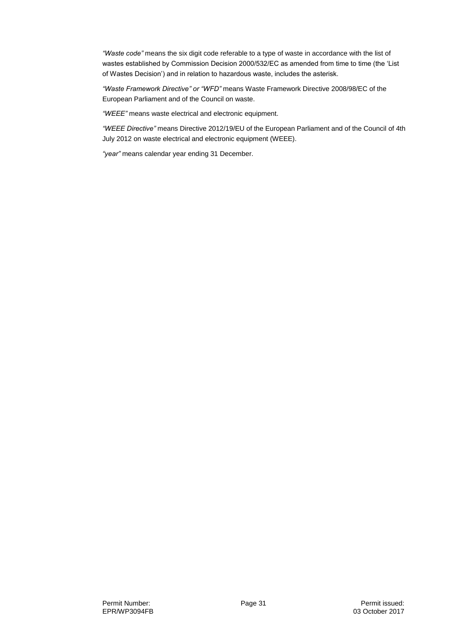*"Waste code"* means the six digit code referable to a type of waste in accordance with the list of wastes established by Commission Decision 2000/532/EC as amended from time to time (the 'List of Wastes Decision') and in relation to hazardous waste, includes the asterisk.

*"Waste Framework Directive" or "WFD"* means Waste Framework Directive 2008/98/EC of the European Parliament and of the Council on waste.

*"WEEE"* means waste electrical and electronic equipment.

*"WEEE Directive"* means Directive 2012/19/EU of the European Parliament and of the Council of 4th July 2012 on waste electrical and electronic equipment (WEEE).

*"year"* means calendar year ending 31 December.